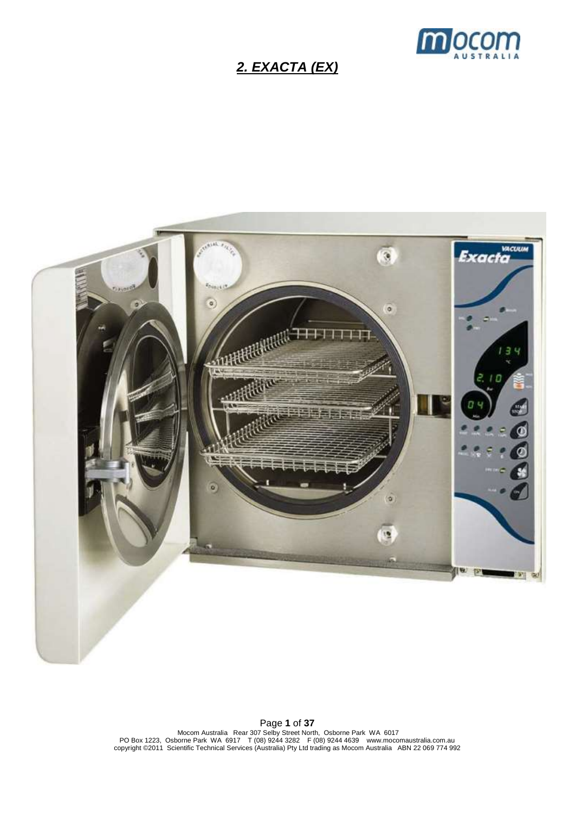

## *2. EXACTA (EX)*

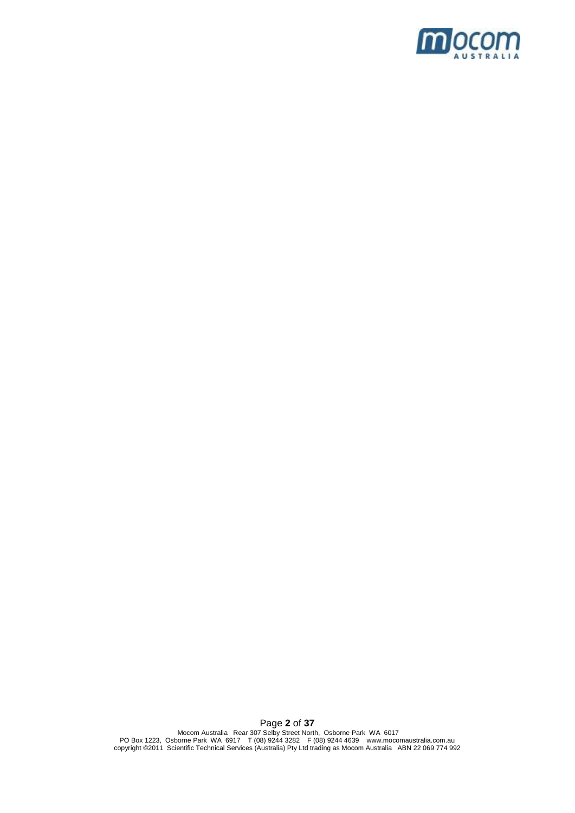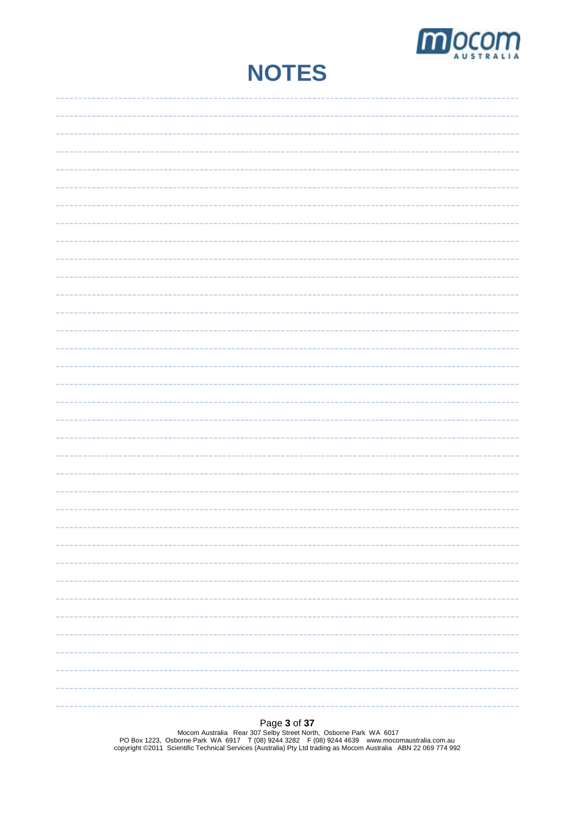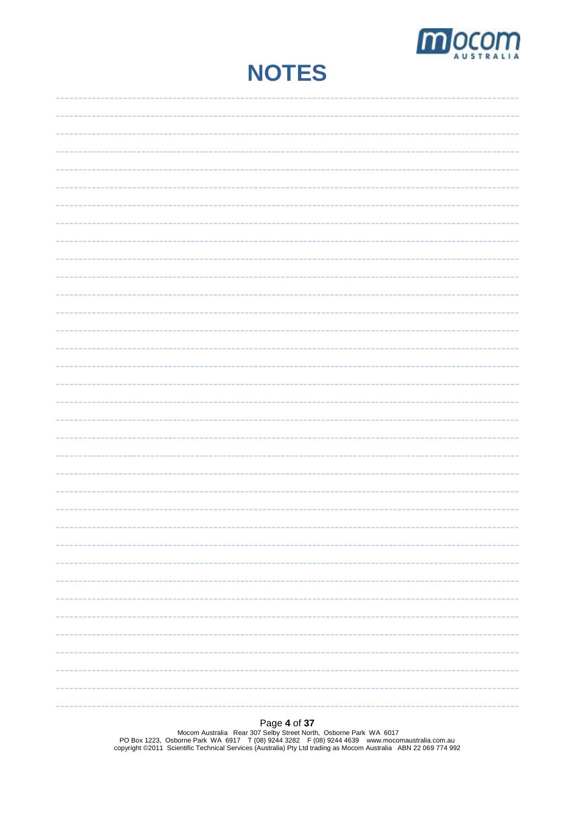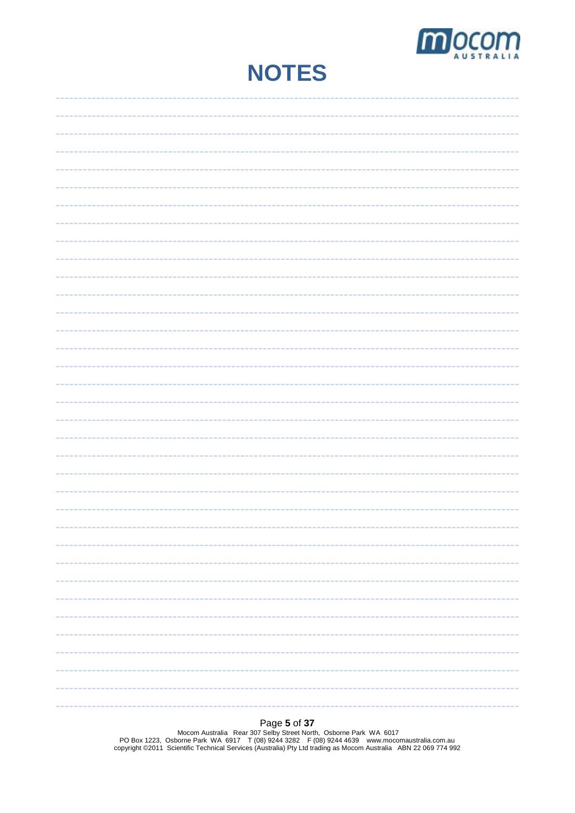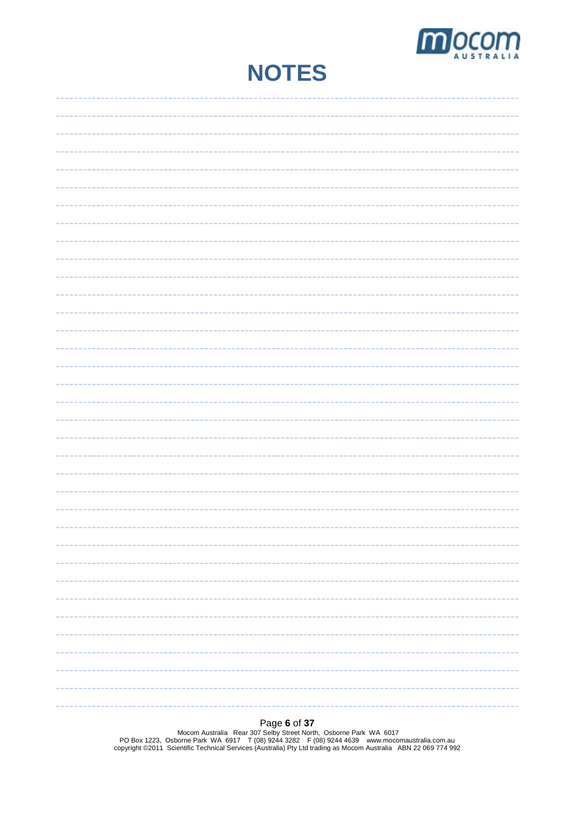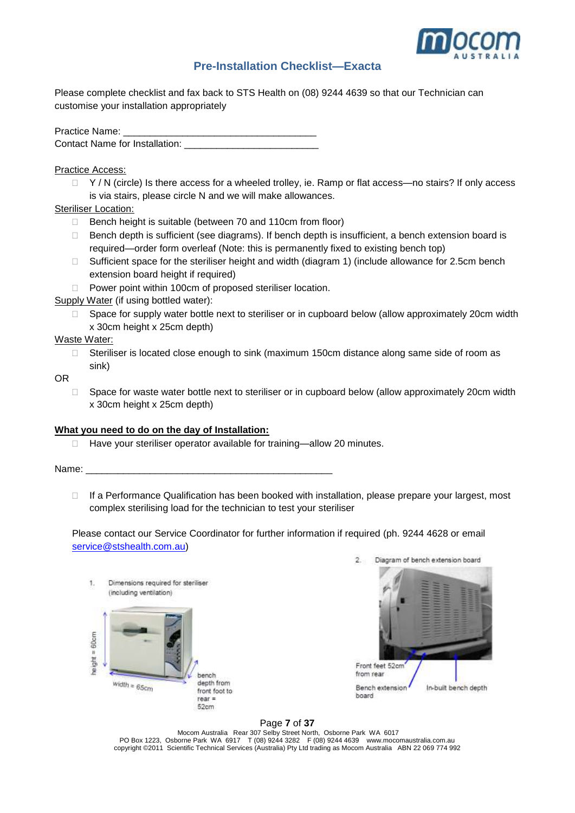

### **Pre-Installation Checklist—Exacta**

Please complete checklist and fax back to STS Health on (08) 9244 4639 so that our Technician can customise your installation appropriately

Practice Name:

Contact Name for Installation:

Practice Access:

□ Y/N (circle) Is there access for a wheeled trolley, ie. Ramp or flat access—no stairs? If only access is via stairs, please circle N and we will make allowances.

Steriliser Location:

- $\Box$  Bench height is suitable (between 70 and 110cm from floor)
- $\Box$  Bench depth is sufficient (see diagrams). If bench depth is insufficient, a bench extension board is required—order form overleaf (Note: this is permanently fixed to existing bench top)
- $\Box$  Sufficient space for the steriliser height and width (diagram 1) (include allowance for 2.5cm bench extension board height if required)
- D Power point within 100cm of proposed steriliser location.
- Supply Water (if using bottled water):
	- $\Box$  Space for supply water bottle next to steriliser or in cupboard below (allow approximately 20cm width x 30cm height x 25cm depth)

Waste Water:

□ Steriliser is located close enough to sink (maximum 150cm distance along same side of room as sink)

OR

□ Space for waste water bottle next to steriliser or in cupboard below (allow approximately 20cm width x 30cm height x 25cm depth)

#### **What you need to do on the day of Installation:**

 $\Box$  Have your steriliser operator available for training—allow 20 minutes.

Name:

 $\Box$  If a Performance Qualification has been booked with installation, please prepare your largest, most complex sterilising load for the technician to test your steriliser

Please contact our Service Coordinator for further information if required (ph. 9244 4628 or email [service@stshealth.com.au\)](mailto:service@stshealth.com.au)

Dimensions required for steriliser 1. (including ventilation)  $neight = 60cm$ bench depth from width =  $65cm$ front foot to  $reat =$ 52cm



Page **7** of **37**

Mocom Australia Rear 307 Selby Street North, Osborne Park WA 6017 PO Box 1223, Osborne Park WA 6917 T (08) 9244 3282 F (08) 9244 4639 www.mocomaustralia.com.au copyright ©2011 Scientific Technical Services (Australia) Pty Ltd trading as Mocom Australia ABN 22 069 774 992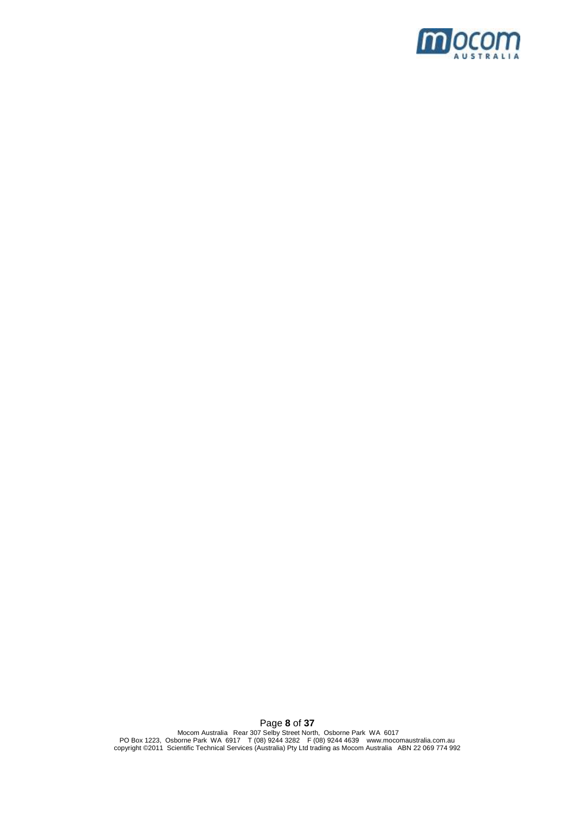

Page **8** of **37** Mocom Australia Rear 307 Selby Street North, Osborne Park WA 6017 PO Box 1223, Osborne Park WA 6917 T (08) 9244 3282 F (08) 9244 4639 www.mocomaustralia.com.au copyright ©2011 Scientific Technical Services (Australia) Pty Ltd trading as Mocom Australia ABN 22 069 774 992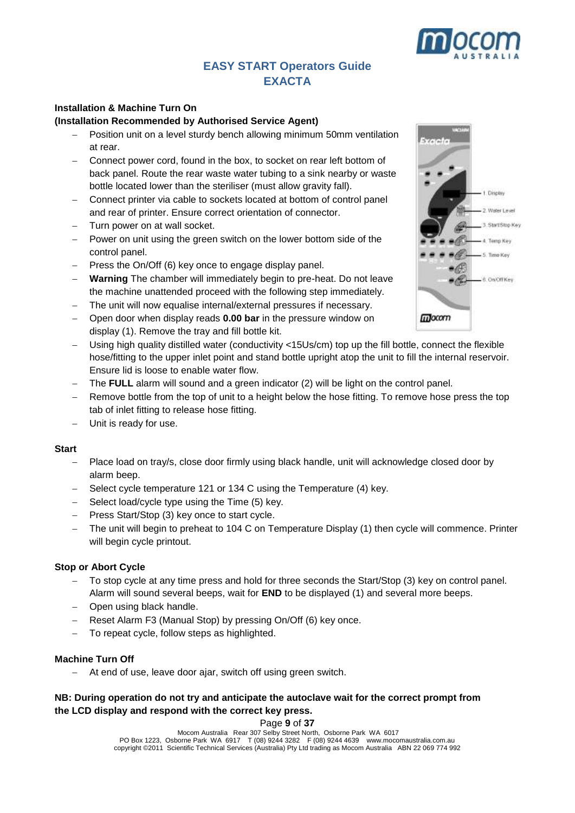

### **EASY START Operators Guide EXACTA**

#### **Installation & Machine Turn On**

#### **(Installation Recommended by Authorised Service Agent)**

- Position unit on a level sturdy bench allowing minimum 50mm ventilation at rear.
- Connect power cord, found in the box, to socket on rear left bottom of back panel. Route the rear waste water tubing to a sink nearby or waste bottle located lower than the steriliser (must allow gravity fall).
- Connect printer via cable to sockets located at bottom of control panel and rear of printer. Ensure correct orientation of connector.
- Turn power on at wall socket.
- Power on unit using the green switch on the lower bottom side of the control panel.
- Press the On/Off (6) key once to engage display panel.
- **Warning** The chamber will immediately begin to pre-heat. Do not leave the machine unattended proceed with the following step immediately.
- The unit will now equalise internal/external pressures if necessary.
- Open door when display reads **0.00 bar** in the pressure window on display (1). Remove the tray and fill bottle kit.
- Using high quality distilled water (conductivity <15Us/cm) top up the fill bottle, connect the flexible hose/fitting to the upper inlet point and stand bottle upright atop the unit to fill the internal reservoir. Ensure lid is loose to enable water flow.
- The **FULL** alarm will sound and a green indicator (2) will be light on the control panel.
- Remove bottle from the top of unit to a height below the hose fitting. To remove hose press the top tab of inlet fitting to release hose fitting.
- Unit is ready for use.

#### **Start**

- Place load on tray/s, close door firmly using black handle, unit will acknowledge closed door by alarm beep.
- Select cycle temperature 121 or 134 C using the Temperature (4) key.
- $-$  Select load/cycle type using the Time (5) key.
- Press Start/Stop (3) key once to start cycle.
- The unit will begin to preheat to 104 C on Temperature Display (1) then cycle will commence. Printer will begin cycle printout.

#### **Stop or Abort Cycle**

- To stop cycle at any time press and hold for three seconds the Start/Stop (3) key on control panel. Alarm will sound several beeps, wait for **END** to be displayed (1) and several more beeps.
- Open using black handle.
- Reset Alarm F3 (Manual Stop) by pressing On/Off (6) key once.
- To repeat cycle, follow steps as highlighted.

#### **Machine Turn Off**

At end of use, leave door aiar, switch off using green switch.

#### **NB: During operation do not try and anticipate the autoclave wait for the correct prompt from the LCD display and respond with the correct key press.**

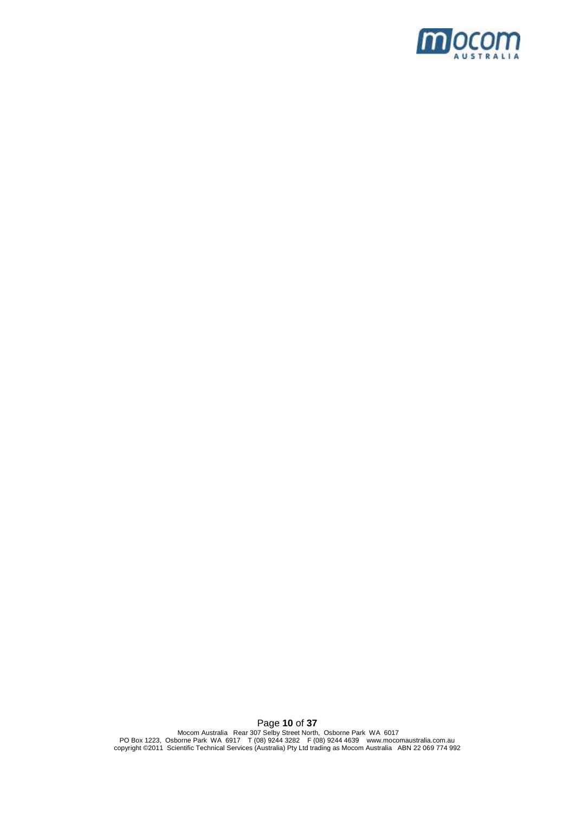

Page **10** of **37** Mocom Australia Rear 307 Selby Street North, Osborne Park WA 6017 PO Box 1223, Osborne Park WA 6917 T (08) 9244 3282 F (08) 9244 4639 www.mocomaustralia.com.au copyright ©2011 Scientific Technical Services (Australia) Pty Ltd trading as Mocom Australia ABN 22 069 774 992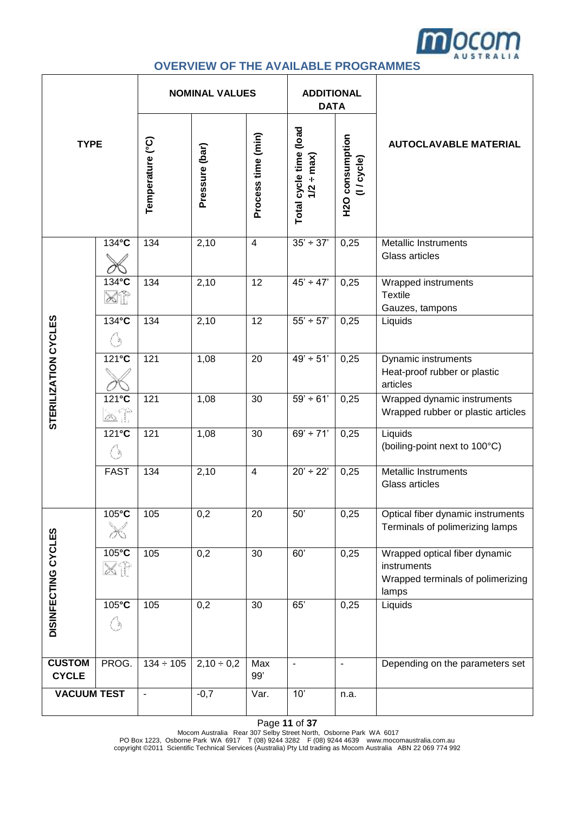

### **OVERVIEW OF THE AVAILABLE PROGRAMMES**

| <b>TYPE</b>                            |                         |                  | <b>NOMINAL VALUES</b> |                         | <b>ADDITIONAL</b><br><b>DATA</b>       |                                |                                                                                            |  |
|----------------------------------------|-------------------------|------------------|-----------------------|-------------------------|----------------------------------------|--------------------------------|--------------------------------------------------------------------------------------------|--|
|                                        |                         | Temperature (°C) | Pressure (bar)        | Process time (min)      | Total cycle time (load<br>$1/2$ ÷ max) | H2O consumption<br>(I / cycle) | <b>AUTOCLAVABLE MATERIAL</b>                                                               |  |
|                                        | 134°C                   | 134              | 2,10                  | $\overline{\mathbf{4}}$ | $\overline{35'} \div 37'$              | 0,25                           | <b>Metallic Instruments</b><br>Glass articles                                              |  |
|                                        | 134°C<br>×t             | 134              | 2,10                  | 12                      | $45' \div 47'$                         | 0,25                           | Wrapped instruments<br><b>Textile</b><br>Gauzes, tampons                                   |  |
|                                        | $134^{\circ}$ C<br>( b) | 134              | 2,10                  | 12                      | $55' \div 57'$                         | 0,25                           | Liquids                                                                                    |  |
| STERILIZATION CYCLES                   | $121^{\circ}C$          | 121              | 1,08                  | 20                      | $49' \div 51'$                         | 0,25                           | Dynamic instruments<br>Heat-proof rubber or plastic<br>articles                            |  |
|                                        | 121°C<br>XT             | 121              | 1,08                  | 30                      | $59' \div 61'$                         | 0,25                           | Wrapped dynamic instruments<br>Wrapped rubber or plastic articles                          |  |
|                                        | $121^{\circ}C$<br>(∂    | 121              | 1,08                  | 30                      | $69' \div 71'$                         | 0,25                           | Liquids<br>(boiling-point next to 100°C)                                                   |  |
|                                        | <b>FAST</b>             | 134              | 2,10                  | 4                       | $20' \div 22'$                         | 0,25                           | <b>Metallic Instruments</b><br>Glass articles                                              |  |
|                                        | $105^{\circ}C$<br>X     | 105              | 0,2                   | 20                      | 50'                                    | 0,25                           | Optical fiber dynamic instruments<br>Terminals of polimerizing lamps                       |  |
| DISINFECTING CYCLES                    | $105^{\circ}C$<br>Xf    | 105              | 0,2                   | 30                      | 60'                                    | 0,25                           | Wrapped optical fiber dynamic<br>instruments<br>Wrapped terminals of polimerizing<br>lamps |  |
|                                        | $105^{\circ}C$<br>6     | 105              | 0,2                   | 30                      | 65'                                    | 0,25                           | Liquids                                                                                    |  |
| <b>CUSTOM</b><br>PROG.<br><b>CYCLE</b> |                         | $134 \div 105$   | $2,10 \div 0,2$       | Max<br>99'              | $\blacksquare$                         | $\blacksquare$                 | Depending on the parameters set                                                            |  |
| <b>VACUUM TEST</b>                     |                         | $\blacksquare$   | $-0,7$                | Var.                    | 10'                                    | n.a.                           |                                                                                            |  |

Page **11** of **37**

Mocom Australia Rear 307 Selby Street North, Osborne Park WA 6017

PO Box 1223, Osborne Park WA 6917 T (08) 9244 3282 F (08) 9244 4639 www.mocomaustralia.com.au copyright ©2011 Scientific Technical Services (Australia) Pty Ltd trading as Mocom Australia ABN 22 069 774 992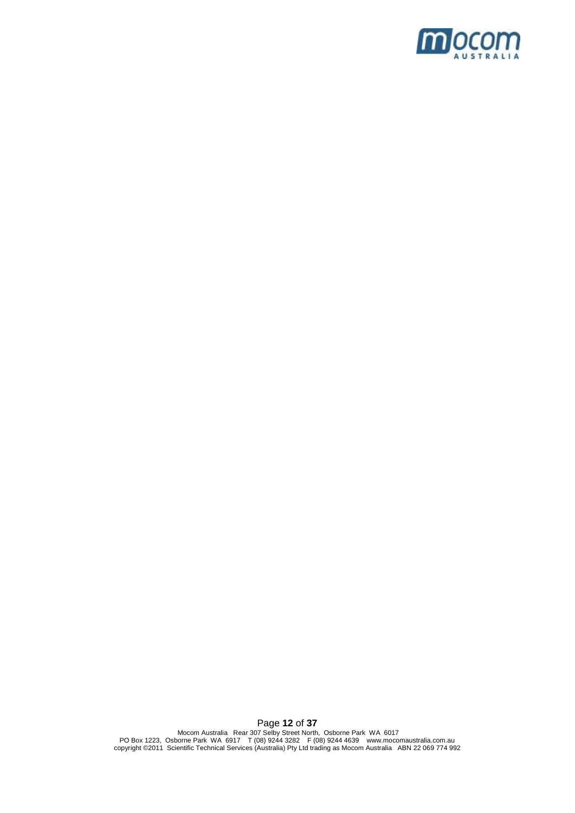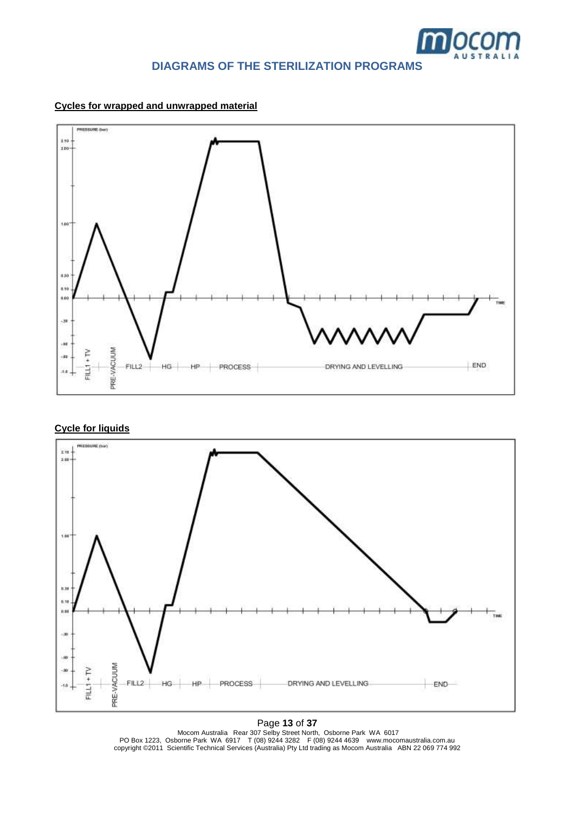

### **DIAGRAMS OF THE STERILIZATION PROGRAMS**

### **Cycles for wrapped and unwrapped material**



### **Cycle for liquids**



Page **13** of **37** Mocom Australia Rear 307 Selby Street North, Osborne Park WA 6017 PO Box 1223, Osborne Park WA 6917 T (08) 9244 3282 F (08) 9244 4639 www.mocomaustralia.com.au copyright ©2011 Scientific Technical Services (Australia) Pty Ltd trading as Mocom Australia ABN 22 069 774 992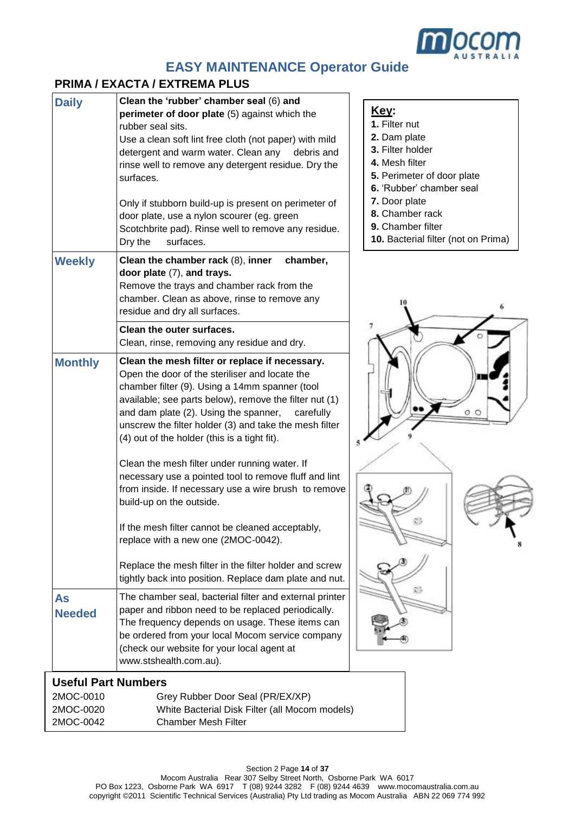

### **EASY MAINTENANCE Operator Guide**

### **PRIMA / EXACTA / EXTREMA PLUS**

| <b>Daily</b>        | Clean the 'rubber' chamber seal (6) and<br>perimeter of door plate (5) against which the<br>rubber seal sits.<br>Use a clean soft lint free cloth (not paper) with mild<br>detergent and warm water. Clean any debris and<br>rinse well to remove any detergent residue. Dry the<br>surfaces.<br>Only if stubborn build-up is present on perimeter of<br>door plate, use a nylon scourer (eg. green<br>Scotchbrite pad). Rinse well to remove any residue.<br>Dry the<br>surfaces. | <u>Key:</u><br>1. Filte<br>2. Dan<br>3. Filte<br>4. Mes<br>5. Peri<br><b>6. Rut</b><br><b>7. Doo</b><br>8. Cha<br><b>9. Cha</b><br>10. Ba |
|---------------------|------------------------------------------------------------------------------------------------------------------------------------------------------------------------------------------------------------------------------------------------------------------------------------------------------------------------------------------------------------------------------------------------------------------------------------------------------------------------------------|-------------------------------------------------------------------------------------------------------------------------------------------|
| <b>Weekly</b>       | chamber,<br>Clean the chamber rack $(8)$ , inner<br>door plate (7), and trays.<br>Remove the trays and chamber rack from the<br>chamber. Clean as above, rinse to remove any<br>residue and dry all surfaces.                                                                                                                                                                                                                                                                      |                                                                                                                                           |
|                     | Clean the outer surfaces.<br>Clean, rinse, removing any residue and dry.                                                                                                                                                                                                                                                                                                                                                                                                           |                                                                                                                                           |
| <b>Monthly</b>      | Clean the mesh filter or replace if necessary.<br>Open the door of the steriliser and locate the<br>chamber filter (9). Using a 14mm spanner (tool<br>available; see parts below), remove the filter nut (1)<br>and dam plate (2). Using the spanner,<br>carefully<br>unscrew the filter holder (3) and take the mesh filter<br>(4) out of the holder (this is a tight fit).                                                                                                       |                                                                                                                                           |
|                     | Clean the mesh filter under running water. If<br>necessary use a pointed tool to remove fluff and lint<br>from inside. If necessary use a wire brush to remove<br>build-up on the outside.<br>If the mesh filter cannot be cleaned acceptably,                                                                                                                                                                                                                                     |                                                                                                                                           |
|                     | replace with a new one (2MOC-0042).<br>Replace the mesh filter in the filter holder and screw<br>tightly back into position. Replace dam plate and nut.                                                                                                                                                                                                                                                                                                                            |                                                                                                                                           |
| As<br><b>Needed</b> | The chamber seal, bacterial filter and external printer<br>paper and ribbon need to be replaced periodically.<br>The frequency depends on usage. These items can<br>be ordered from your local Mocom service company<br>(check our website for your local agent at<br>www.stshealth.com.au).                                                                                                                                                                                       |                                                                                                                                           |

- er nut
- m plate
- er holder
- **4.** Mesh filter
- fimeter of door plate
- bber' chamber seal
- **7.** Door plate
- **8.** Chamber rack
- **9.** Chamber filter
- **10.** Bacterial filter (not on Prima)



### **Useful Part Numbers**

| 2MOC-0010<br>2MOC-0020 | Grey Rubber Door Seal (PR/EX/XP)<br>White Bacterial Disk Filter (all Mocom models) |
|------------------------|------------------------------------------------------------------------------------|
| 2MOC-0042              | Chamber Mesh Filter                                                                |
|                        |                                                                                    |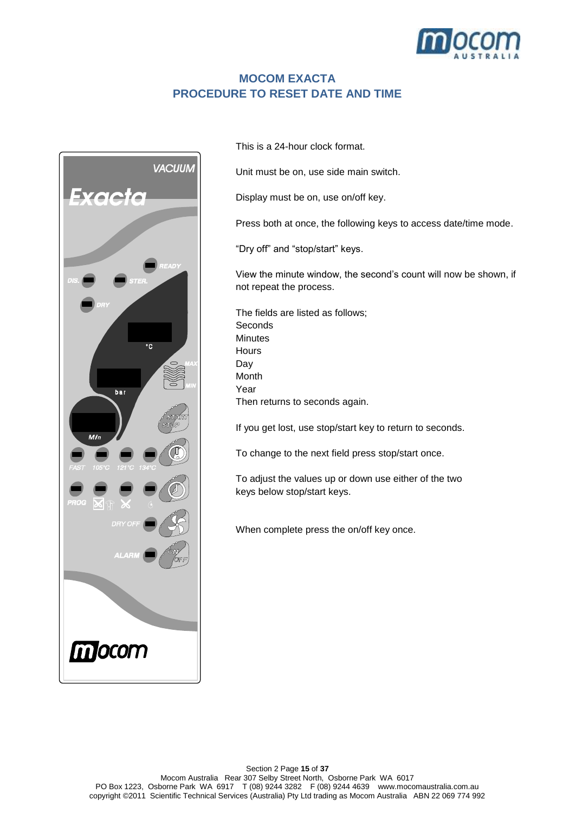

### **MOCOM EXACTA PROCEDURE TO RESET DATE AND TIME**



This is a 24-hour clock format.

Unit must be on, use side main switch.

Display must be on, use on/off key.

Press both at once, the following keys to access date/time mode.

"Dry off" and "stop/start" keys.

View the minute window, the second's count will now be shown, if not repeat the process.

The fields are listed as follows; **Seconds** Minutes **Hours** Day Month Year Then returns to seconds again.

If you get lost, use stop/start key to return to seconds.

To change to the next field press stop/start once.

To adjust the values up or down use either of the two keys below stop/start keys.

When complete press the on/off key once.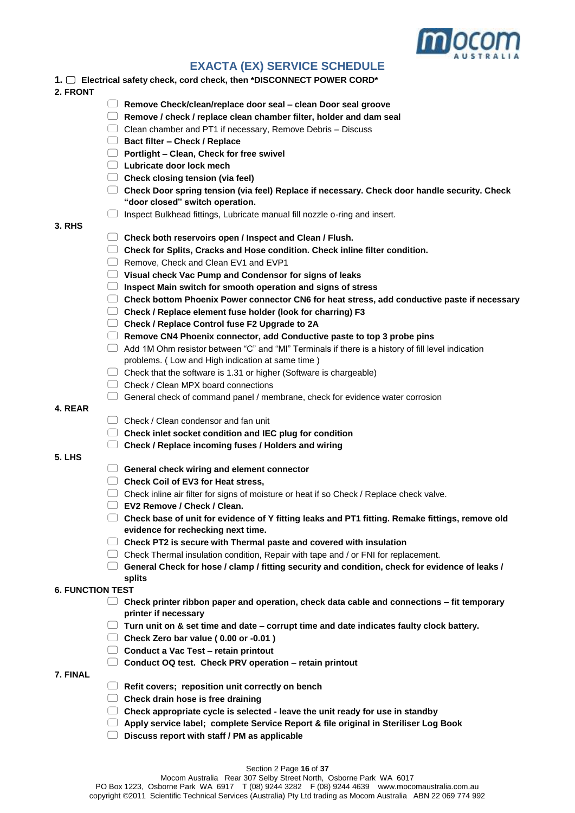

### **EXACTA (EX) SERVICE SCHEDULE**

|                         | EXAMIN (EX) VERTICE CONFEDER                                                                                                                 |  |
|-------------------------|----------------------------------------------------------------------------------------------------------------------------------------------|--|
|                         | 1. $\Box$ Electrical safety check, cord check, then *DISCONNECT POWER CORD*                                                                  |  |
| 2. FRONT                |                                                                                                                                              |  |
|                         | $\Box$ Remove Check/clean/replace door seal – clean Door seal groove                                                                         |  |
|                         | $\Box$ Remove / check / replace clean chamber filter, holder and dam seal                                                                    |  |
|                         | $\Box$ Clean chamber and PT1 if necessary, Remove Debris – Discuss                                                                           |  |
|                         | $\Box$ Bact filter - Check / Replace                                                                                                         |  |
|                         | $\Box$ Portlight - Clean, Check for free swivel                                                                                              |  |
|                         | $\Box$ Lubricate door lock mech                                                                                                              |  |
|                         | $\Box$ Check closing tension (via feel)                                                                                                      |  |
|                         | $\Box$ Check Door spring tension (via feel) Replace if necessary. Check door handle security. Check<br>"door closed" switch operation.       |  |
|                         | $\Box$ Inspect Bulkhead fittings, Lubricate manual fill nozzle o-ring and insert.                                                            |  |
| <b>3. RHS</b>           |                                                                                                                                              |  |
|                         | $\Box$ Check both reservoirs open / Inspect and Clean / Flush.                                                                               |  |
|                         | $\Box$ Check for Splits, Cracks and Hose condition. Check inline filter condition.                                                           |  |
|                         | $\Box$ Remove, Check and Clean EV1 and EVP1                                                                                                  |  |
|                         | $\Box$ Visual check Vac Pump and Condensor for signs of leaks                                                                                |  |
|                         | $\Box$ Inspect Main switch for smooth operation and signs of stress                                                                          |  |
|                         | $\Box$ Check bottom Phoenix Power connector CN6 for heat stress, add conductive paste if necessary                                           |  |
|                         | $\Box$ Check / Replace element fuse holder (look for charring) F3                                                                            |  |
|                         | ◯ Check / Replace Control fuse F2 Upgrade to 2A                                                                                              |  |
|                         | $\Box$ Remove CN4 Phoenix connector, add Conductive paste to top 3 probe pins                                                                |  |
|                         | $\Box$ Add 1M Ohm resistor between "C" and "MI" Terminals if there is a history of fill level indication                                     |  |
|                         | problems. (Low and High indication at same time)                                                                                             |  |
|                         | $\Box$ Check that the software is 1.31 or higher (Software is chargeable)                                                                    |  |
|                         | $\Box$ Check / Clean MPX board connections                                                                                                   |  |
|                         | $\Box$ General check of command panel / membrane, check for evidence water corrosion                                                         |  |
| 4. REAR                 |                                                                                                                                              |  |
|                         | $\Box$ Check / Clean condensor and fan unit                                                                                                  |  |
|                         | $\Box$ Check inlet socket condition and IEC plug for condition                                                                               |  |
|                         | $\Box$ Check / Replace incoming fuses / Holders and wiring                                                                                   |  |
| <b>5. LHS</b>           |                                                                                                                                              |  |
|                         | General check wiring and element connector                                                                                                   |  |
|                         | Check Coil of EV3 for Heat stress,                                                                                                           |  |
|                         | Check inline air filter for signs of moisture or heat if so Check / Replace check valve.                                                     |  |
|                         | EV2 Remove / Check / Clean.                                                                                                                  |  |
|                         | $\Box$ Check base of unit for evidence of Y fitting leaks and PT1 fitting. Remake fittings, remove old<br>evidence for rechecking next time. |  |
|                         | $\Box$ Check PT2 is secure with Thermal paste and covered with insulation                                                                    |  |
|                         | $\Box$ Check Thermal insulation condition, Repair with tape and / or FNI for replacement.                                                    |  |
|                         | General Check for hose / clamp / fitting security and condition, check for evidence of leaks /                                               |  |
|                         | splits                                                                                                                                       |  |
| <b>6. FUNCTION TEST</b> |                                                                                                                                              |  |
|                         | Check printer ribbon paper and operation, check data cable and connections - fit temporary                                                   |  |
|                         | printer if necessary                                                                                                                         |  |
|                         | $\Box$ Turn unit on & set time and date – corrupt time and date indicates faulty clock battery.                                              |  |
|                         | $\Box$ Check Zero bar value (0.00 or -0.01)                                                                                                  |  |
|                         | $\Box$ Conduct a Vac Test – retain printout                                                                                                  |  |
|                         | Conduct OQ test. Check PRV operation - retain printout                                                                                       |  |
| 7. FINAL                |                                                                                                                                              |  |
|                         | $\Box$ Refit covers; reposition unit correctly on bench                                                                                      |  |
|                         | $\Box$ Check drain hose is free draining                                                                                                     |  |
|                         | $\Box$ Check appropriate cycle is selected - leave the unit ready for use in standby                                                         |  |
|                         | $\Box$ Apply service label; $\,$ complete Service Report & file original in Steriliser Log Book $\,$                                         |  |
|                         | Discuss report with staff / PM as applicable                                                                                                 |  |
|                         |                                                                                                                                              |  |
|                         |                                                                                                                                              |  |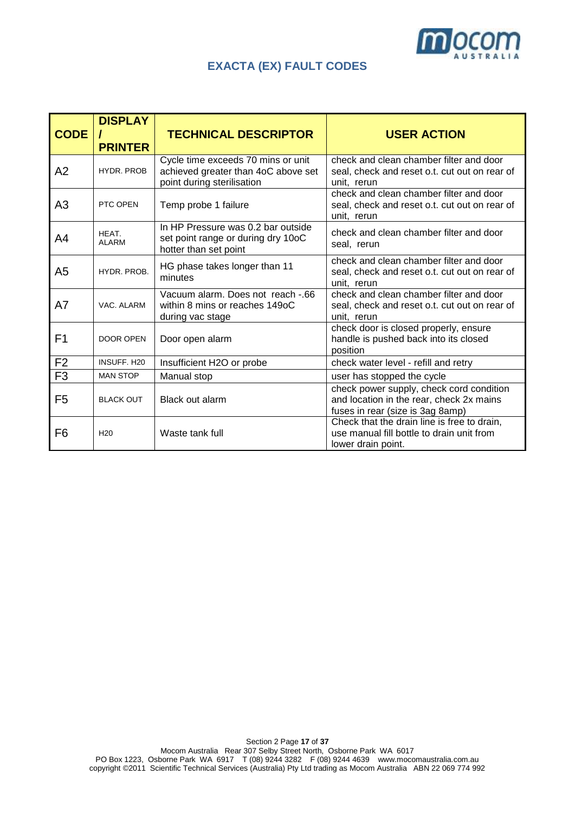

### **EXACTA (EX) FAULT CODES**

| <b>CODE</b>    | <b>DISPLAY</b><br><b>PRINTER</b> | <b>TECHNICAL DESCRIPTOR</b>                                                                             | <b>USER ACTION</b>                                                                                                       |
|----------------|----------------------------------|---------------------------------------------------------------------------------------------------------|--------------------------------------------------------------------------------------------------------------------------|
| A2             | <b>HYDR. PROB</b>                | Cycle time exceeds 70 mins or unit<br>achieved greater than 4oC above set<br>point during sterilisation | check and clean chamber filter and door<br>seal, check and reset o.t. cut out on rear of<br>unit, rerun                  |
| A3             | PTC OPEN                         | Temp probe 1 failure                                                                                    | check and clean chamber filter and door<br>seal, check and reset o.t. cut out on rear of<br>unit, rerun                  |
| A4             | HEAT.<br><b>ALARM</b>            | In HP Pressure was 0.2 bar outside<br>set point range or during dry 10oC<br>hotter than set point       | check and clean chamber filter and door<br>seal, rerun                                                                   |
| A <sub>5</sub> | HYDR, PROB.                      | HG phase takes longer than 11<br>minutes                                                                | check and clean chamber filter and door<br>seal, check and reset o.t. cut out on rear of<br>unit, rerun                  |
| A7             | VAC. ALARM                       | Vacuum alarm. Does not reach -.66<br>within 8 mins or reaches 149oC<br>during vac stage                 | check and clean chamber filter and door<br>seal, check and reset o.t. cut out on rear of<br>unit, rerun                  |
| F <sub>1</sub> | <b>DOOR OPEN</b>                 | Door open alarm                                                                                         | check door is closed properly, ensure<br>handle is pushed back into its closed<br>position                               |
| F <sub>2</sub> | INSUFF, H20                      | Insufficient H2O or probe                                                                               | check water level - refill and retry                                                                                     |
| F <sub>3</sub> | <b>MAN STOP</b>                  | Manual stop                                                                                             | user has stopped the cycle                                                                                               |
| F <sub>5</sub> | <b>BLACK OUT</b>                 | <b>Black out alarm</b>                                                                                  | check power supply, check cord condition<br>and location in the rear, check 2x mains<br>fuses in rear (size is 3ag 8amp) |
| F <sub>6</sub> | H <sub>20</sub>                  | Waste tank full                                                                                         | Check that the drain line is free to drain,<br>use manual fill bottle to drain unit from<br>lower drain point.           |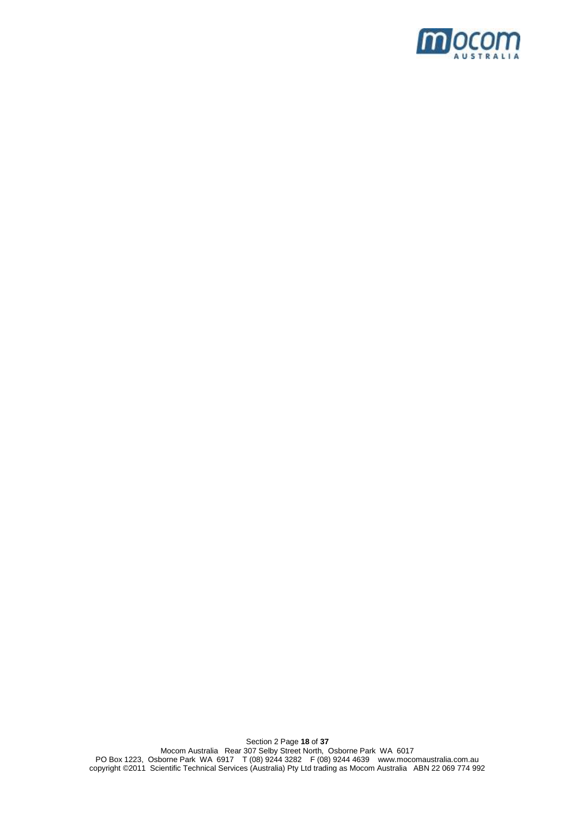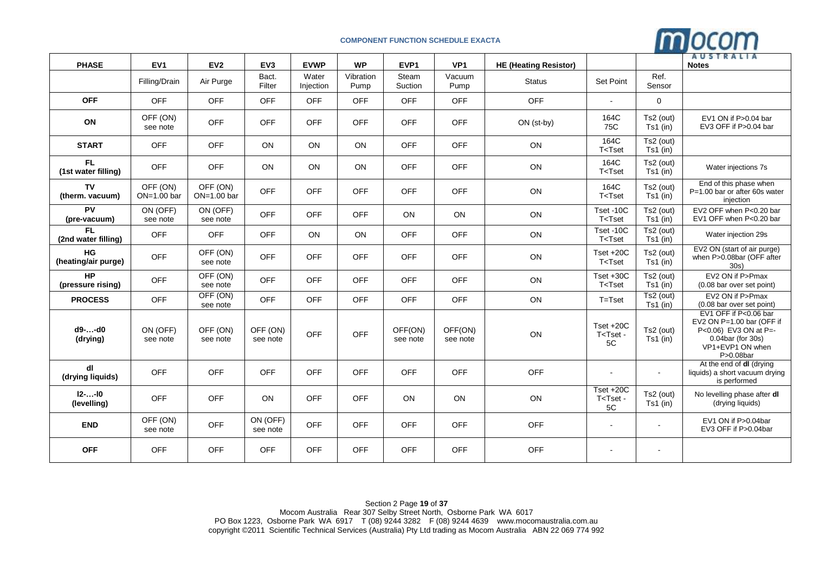#### **COMPONENT FUNCTION SCHEDULE EXACTA**



| <b>PHASE</b>                     | EV <sub>1</sub>           | EV <sub>2</sub>           | EV <sub>3</sub>      | <b>EVWP</b>        | <b>WP</b>         | EVP1                | VP <sub>1</sub>     | <b>HE (Heating Resistor)</b> |                                                                                                                                                                   |                         | <b>AUSTRALIA</b><br><b>Notes</b>                                                                                                  |
|----------------------------------|---------------------------|---------------------------|----------------------|--------------------|-------------------|---------------------|---------------------|------------------------------|-------------------------------------------------------------------------------------------------------------------------------------------------------------------|-------------------------|-----------------------------------------------------------------------------------------------------------------------------------|
|                                  | Filling/Drain             | Air Purge                 | Bact.<br>Filter      | Water<br>Injection | Vibration<br>Pump | Steam<br>Suction    | Vacuum<br>Pump      | <b>Status</b>                | Set Point                                                                                                                                                         | Ref.<br>Sensor          |                                                                                                                                   |
| <b>OFF</b>                       | <b>OFF</b>                | <b>OFF</b>                | <b>OFF</b>           | <b>OFF</b>         | <b>OFF</b>        | <b>OFF</b>          | <b>OFF</b>          | <b>OFF</b>                   | $\sim$                                                                                                                                                            | $\mathbf 0$             |                                                                                                                                   |
| ON                               | OFF (ON)<br>see note      | <b>OFF</b>                | <b>OFF</b>           | <b>OFF</b>         | <b>OFF</b>        | <b>OFF</b>          | <b>OFF</b>          | ON (st-by)                   | 164C<br>75C                                                                                                                                                       | Ts2 (out)<br>$Ts1$ (in) | EV1 ON if P>0.04 bar<br>EV3 OFF if P>0.04 bar                                                                                     |
| <b>START</b>                     | <b>OFF</b>                | <b>OFF</b>                | ON                   | ON                 | ON                | <b>OFF</b>          | <b>OFF</b>          | ON                           | 164C<br>T <tset< td=""><td>Ts2 (out)<br/><math>Ts1</math> (in)</td><td></td></tset<>                                                                              | Ts2 (out)<br>$Ts1$ (in) |                                                                                                                                   |
| FL.<br>(1st water filling)       | <b>OFF</b>                | <b>OFF</b>                | ON                   | ON                 | ON                | <b>OFF</b>          | <b>OFF</b>          | ON                           | 164C<br>T <tset< td=""><td>Ts2 (out)<br/><math>Ts1</math> (in)</td><td>Water injections 7s</td></tset<>                                                           | Ts2 (out)<br>$Ts1$ (in) | Water injections 7s                                                                                                               |
| TV<br>(therm. vacuum)            | OFF (ON)<br>$ON=1.00$ bar | OFF (ON)<br>$ON=1.00$ bar | <b>OFF</b>           | <b>OFF</b>         | <b>OFF</b>        | <b>OFF</b>          | <b>OFF</b>          | ON                           | 164C<br>T <tset< td=""><td>Ts2 (out)<br/><math>Ts1</math> (in)</td><td>End of this phase when<br/>P=1.00 bar or after 60s water<br/>injection</td></tset<>        | Ts2 (out)<br>$Ts1$ (in) | End of this phase when<br>P=1.00 bar or after 60s water<br>injection                                                              |
| PV<br>(pre-vacuum)               | ON (OFF)<br>see note      | ON (OFF)<br>see note      | <b>OFF</b>           | <b>OFF</b>         | <b>OFF</b>        | ON                  | ON                  | ON                           | Tset-10C<br>T <tset< td=""><td>Ts2 (out)<br/><math>Ts1</math> (in)</td><td>EV2 OFF when P&lt;0.20 bar<br/>EV1 OFF when P&lt;0.20 bar</td></tset<>                 | Ts2 (out)<br>$Ts1$ (in) | EV2 OFF when P<0.20 bar<br>EV1 OFF when P<0.20 bar                                                                                |
| <b>FL</b><br>(2nd water filling) | <b>OFF</b>                | <b>OFF</b>                | <b>OFF</b>           | ON                 | ON                | <b>OFF</b>          | <b>OFF</b>          | ON                           | Tset-10C<br>T <tset< td=""><td>Ts2 (out)<br/><math>Ts1</math> (in)</td><td>Water injection 29s</td></tset<>                                                       | Ts2 (out)<br>$Ts1$ (in) | Water injection 29s                                                                                                               |
| <b>HG</b><br>(heating/air purge) | <b>OFF</b>                | OFF (ON)<br>see note      | <b>OFF</b>           | <b>OFF</b>         | <b>OFF</b>        | OFF                 | <b>OFF</b>          | $\mathsf{ON}$                | $Test + 20C$<br>T <tset< td=""><td>Ts2 (out)<br/><math>Ts1</math> (in)</td><td>EV2 ON (start of air purge)<br/>when P&gt;0.08bar (OFF after<br/>30s)</td></tset<> | Ts2 (out)<br>$Ts1$ (in) | EV2 ON (start of air purge)<br>when P>0.08bar (OFF after<br>30s)                                                                  |
| <b>HP</b><br>(pressure rising)   | <b>OFF</b>                | OFF (ON)<br>see note      | <b>OFF</b>           | <b>OFF</b>         | <b>OFF</b>        | OFF                 | <b>OFF</b>          | ON                           | $Test + 30C$<br>T <tset< td=""><td>Ts2 (out)<br/><math>Ts1</math> (in)</td><td>EV2 ON if P&gt;Pmax<br/>(0.08 bar over set point)</td></tset<>                     | Ts2 (out)<br>$Ts1$ (in) | EV2 ON if P>Pmax<br>(0.08 bar over set point)                                                                                     |
| <b>PROCESS</b>                   | <b>OFF</b>                | OFF (ON)<br>see note      | <b>OFF</b>           | <b>OFF</b>         | <b>OFF</b>        | <b>OFF</b>          | <b>OFF</b>          | ON                           | $T = T$ set                                                                                                                                                       | Ts2 (out)<br>$Ts1$ (in) | EV2 ON if P>Pmax<br>(0.08 bar over set point)                                                                                     |
| d9--d0<br>(drying)               | ON (OFF)<br>see note      | OFF (ON)<br>see note      | OFF (ON)<br>see note | <b>OFF</b>         | <b>OFF</b>        | OFF(ON)<br>see note | OFF(ON)<br>see note | ON                           | $Test + 20C$<br>T <tset -<br="">5C</tset>                                                                                                                         | Ts2 (out)<br>$Ts1$ (in) | EV1 OFF if P<0.06 bar<br>EV2 ON P=1.00 bar (OFF if<br>P<0.06) EV3 ON at P=-<br>0.04bar (for 30s)<br>VP1+EVP1 ON when<br>P>0.08bar |
| dl<br>(drying liquids)           | <b>OFF</b>                | <b>OFF</b>                | <b>OFF</b>           | <b>OFF</b>         | <b>OFF</b>        | <b>OFF</b>          | <b>OFF</b>          | <b>OFF</b>                   | L,                                                                                                                                                                |                         | At the end of <b>dl</b> (drying<br>liquids) a short vacuum drying<br>is performed                                                 |
| $12 -  - 10$<br>(levelling)      | <b>OFF</b>                | <b>OFF</b>                | ON                   | <b>OFF</b>         | <b>OFF</b>        | ON                  | ON                  | ON                           | $Test + 20C$<br>T <tset -<br="">5C</tset>                                                                                                                         | Ts2 (out)<br>$Ts1$ (in) | No levelling phase after dl<br>(drying liquids)                                                                                   |
| <b>END</b>                       | OFF (ON)<br>see note      | <b>OFF</b>                | ON (OFF)<br>see note | <b>OFF</b>         | <b>OFF</b>        | <b>OFF</b>          | <b>OFF</b>          | <b>OFF</b>                   | $\blacksquare$                                                                                                                                                    | $\blacksquare$          | EV1 ON if P>0.04bar<br>EV3 OFF if P>0.04bar                                                                                       |
| <b>OFF</b>                       | <b>OFF</b>                | <b>OFF</b>                | <b>OFF</b>           | <b>OFF</b>         | <b>OFF</b>        | <b>OFF</b>          | <b>OFF</b>          | <b>OFF</b>                   |                                                                                                                                                                   | $\blacksquare$          |                                                                                                                                   |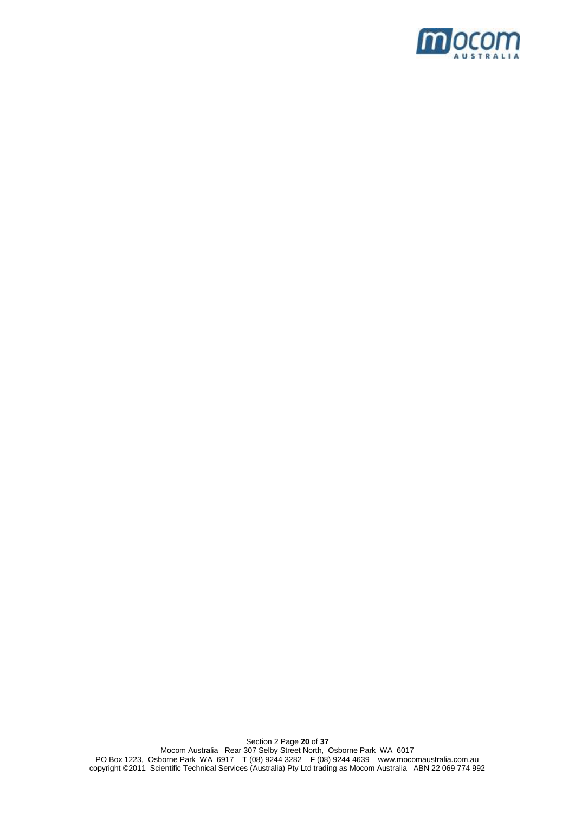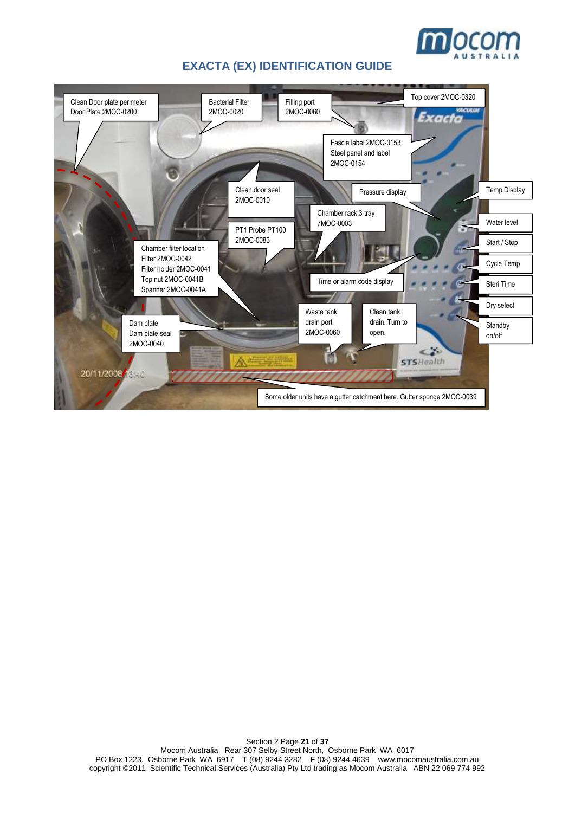

### **EXACTA (EX) IDENTIFICATION GUIDE**

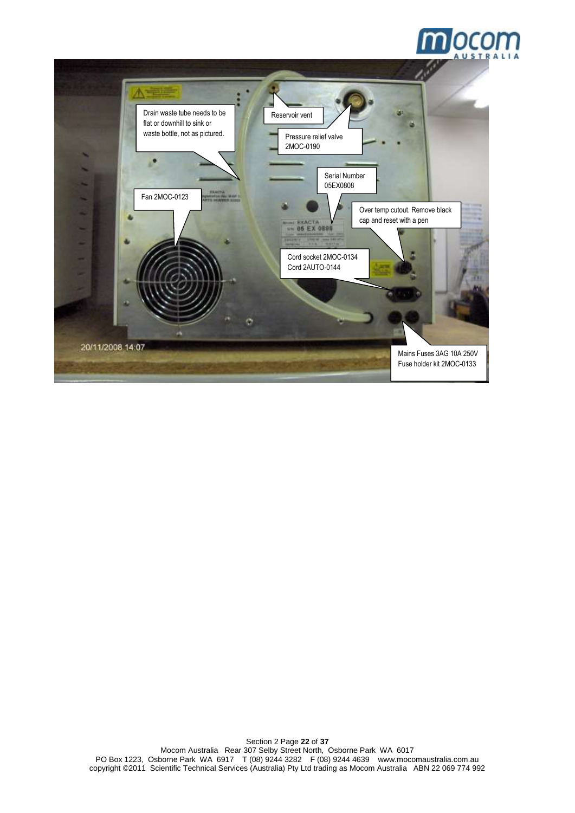

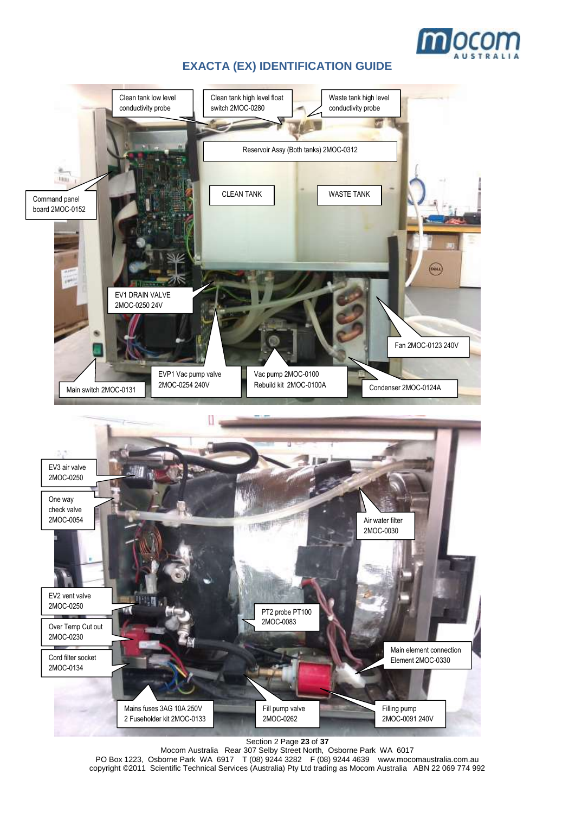

### **EXACTA (EX) IDENTIFICATION GUIDE**



Mocom Australia Rear 307 Selby Street North, Osborne Park WA 6017 PO Box 1223, Osborne Park WA 6917 T (08) 9244 3282 F (08) 9244 4639 www.mocomaustralia.com.au copyright ©2011 Scientific Technical Services (Australia) Pty Ltd trading as Mocom Australia ABN 22 069 774 992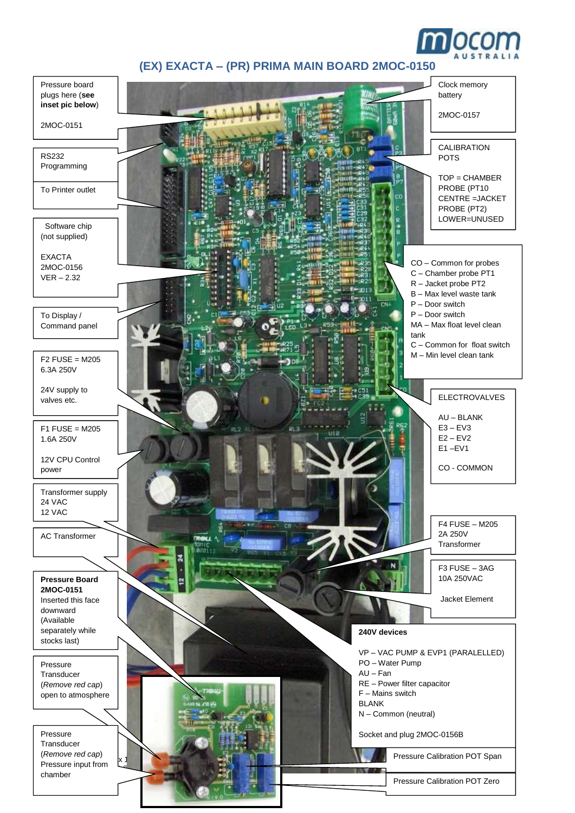

### **(EX) EXACTA – (PR) PRIMA MAIN BOARD 2MOC-0150**

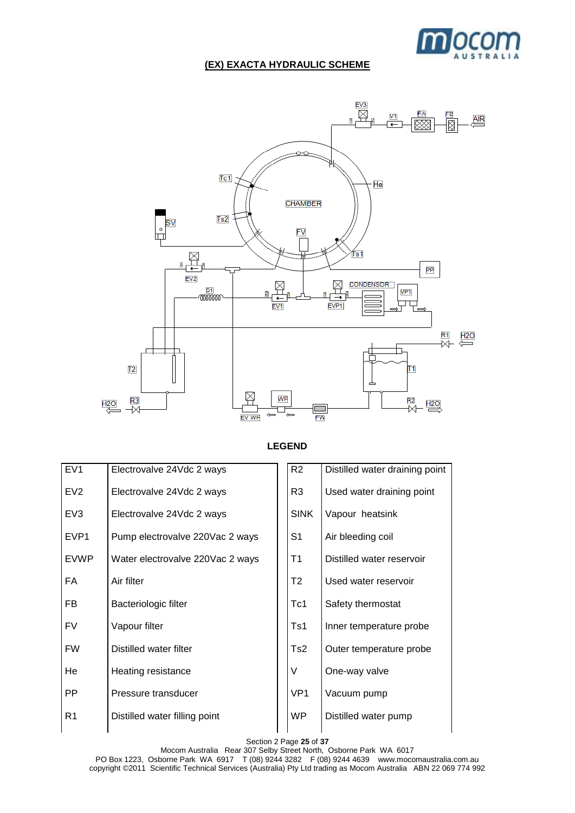

### **(EX) EXACTA HYDRAULIC SCHEME**



**LEGEND**

| EV <sub>1</sub> | Electrovalve 24Vdc 2 ways        | R <sub>2</sub>  | Distilled water draining point |
|-----------------|----------------------------------|-----------------|--------------------------------|
| EV <sub>2</sub> | Electrovalve 24Vdc 2 ways        | R3              | Used water draining point      |
| EV <sub>3</sub> | Electrovalve 24Vdc 2 ways        | <b>SINK</b>     | Vapour heatsink                |
| EVP1            | Pump electrovalve 220Vac 2 ways  | S <sub>1</sub>  | Air bleeding coil              |
| EVWP            | Water electrovalve 220Vac 2 ways | T1              | Distilled water reservoir      |
| FA              | Air filter                       | T <sub>2</sub>  | Used water reservoir           |
| FB              | Bacteriologic filter             | Tc1             | Safety thermostat              |
| FV              | Vapour filter                    | Ts1             | Inner temperature probe        |
| <b>FW</b>       | Distilled water filter           | Ts2             | Outer temperature probe        |
| He              | Heating resistance               | V               | One-way valve                  |
| <b>PP</b>       | Pressure transducer              | VP <sub>1</sub> | Vacuum pump                    |
| R <sub>1</sub>  | Distilled water filling point    | <b>WP</b>       | Distilled water pump           |

Section 2 Page **25** of **37**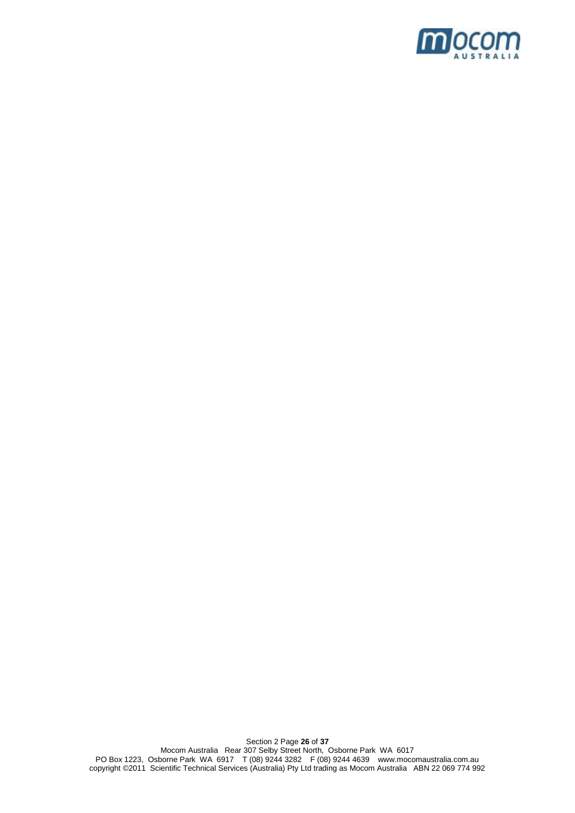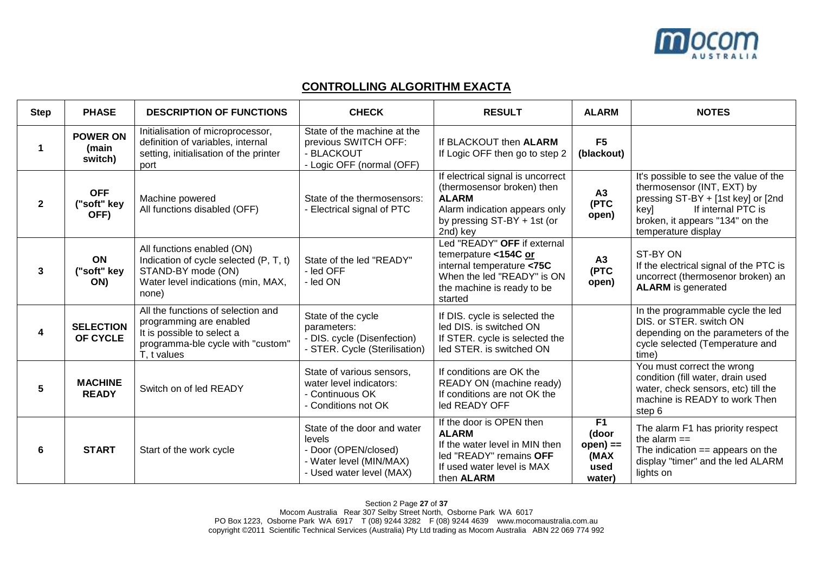

### **CONTROLLING ALGORITHM EXACTA**

| <b>Step</b>  | <b>PHASE</b>                        | <b>DESCRIPTION OF FUNCTIONS</b>                                                                                                                 | <b>CHECK</b>                                                                                                         | <b>RESULT</b>                                                                                                                                               | <b>ALARM</b>                                        | <b>NOTES</b>                                                                                                                                                                                      |
|--------------|-------------------------------------|-------------------------------------------------------------------------------------------------------------------------------------------------|----------------------------------------------------------------------------------------------------------------------|-------------------------------------------------------------------------------------------------------------------------------------------------------------|-----------------------------------------------------|---------------------------------------------------------------------------------------------------------------------------------------------------------------------------------------------------|
| 1            | <b>POWER ON</b><br>(main<br>switch) | Initialisation of microprocessor,<br>definition of variables, internal<br>setting, initialisation of the printer<br>port                        | State of the machine at the<br>previous SWITCH OFF:<br>- BLACKOUT<br>- Logic OFF (normal (OFF)                       | If BLACKOUT then ALARM<br>If Logic OFF then go to step 2                                                                                                    | F <sub>5</sub><br>(blackout)                        |                                                                                                                                                                                                   |
| $\mathbf{2}$ | <b>OFF</b><br>("soft" key<br>OFF)   | Machine powered<br>All functions disabled (OFF)                                                                                                 | State of the thermosensors:<br>- Electrical signal of PTC                                                            | If electrical signal is uncorrect<br>(thermosensor broken) then<br><b>ALARM</b><br>Alarm indication appears only<br>by pressing ST-BY + 1st (or<br>2nd) key | A3<br>(PTC<br>open)                                 | It's possible to see the value of the<br>thermosensor (INT, EXT) by<br>pressing ST-BY + [1st key] or [2nd<br>If internal PTC is<br>key]<br>broken, it appears "134" on the<br>temperature display |
| 3            | ON<br>("soft" key<br>ON)            | All functions enabled (ON)<br>Indication of cycle selected (P, T, t)<br>STAND-BY mode (ON)<br>Water level indications (min, MAX,<br>none)       | State of the led "READY"<br>- led OFF<br>- led ON                                                                    | Led "READY" OFF if external<br>temerpature <154C or<br>internal temperature <75C<br>When the led "READY" is ON<br>the machine is ready to be<br>started     | A3<br>(PTC<br>open)                                 | ST-BY ON<br>If the electrical signal of the PTC is<br>uncorrect (thermosenor broken) an<br><b>ALARM</b> is generated                                                                              |
| 4            | <b>SELECTION</b><br>OF CYCLE        | All the functions of selection and<br>programming are enabled<br>It is possible to select a<br>programma-ble cycle with "custom"<br>T, t values | State of the cycle<br>parameters:<br>- DIS. cycle (Disenfection)<br>- STER. Cycle (Sterilisation)                    | If DIS. cycle is selected the<br>led DIS. is switched ON<br>If STER. cycle is selected the<br>led STER. is switched ON                                      |                                                     | In the programmable cycle the led<br>DIS. or STER. switch ON<br>depending on the parameters of the<br>cycle selected (Temperature and<br>time)                                                    |
| 5            | <b>MACHINE</b><br><b>READY</b>      | Switch on of led READY                                                                                                                          | State of various sensors,<br>water level indicators:<br>- Continuous OK<br>- Conditions not OK                       | If conditions are OK the<br>READY ON (machine ready)<br>If conditions are not OK the<br>led READY OFF                                                       |                                                     | You must correct the wrong<br>condition (fill water, drain used<br>water, check sensors, etc) till the<br>machine is READY to work Then<br>step 6                                                 |
| 6            | <b>START</b>                        | Start of the work cycle                                                                                                                         | State of the door and water<br>levels<br>- Door (OPEN/closed)<br>- Water level (MIN/MAX)<br>- Used water level (MAX) | If the door is OPEN then<br><b>ALARM</b><br>If the water level in MIN then<br>led "READY" remains OFF<br>If used water level is MAX<br>then <b>ALARM</b>    | F1<br>(door<br>$open) ==$<br>(MAX<br>used<br>water) | The alarm F1 has priority respect<br>the alarm $==$<br>The indication $==$ appears on the<br>display "timer" and the led ALARM<br>lights on                                                       |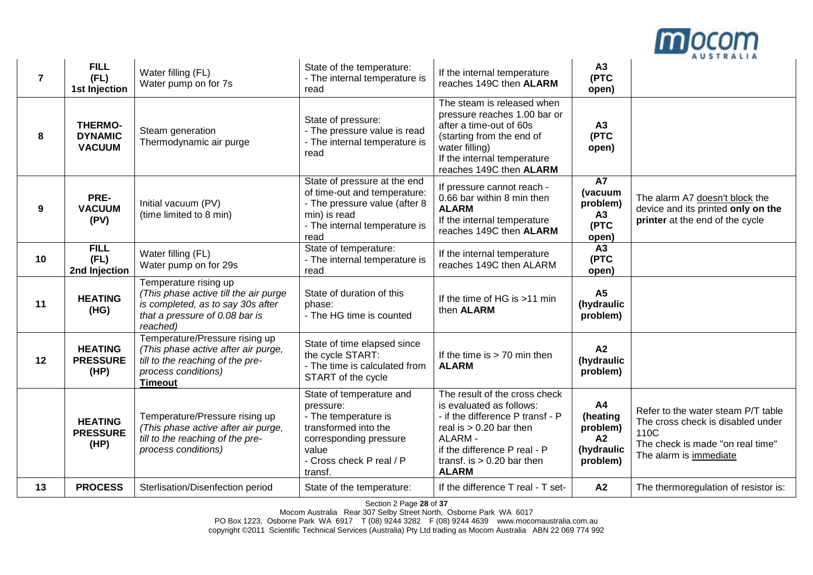

|                |                                                   |                                                                                                                                                    |                                                                                                                                                                 |                                                                                                                                                                                                                      |                                                            | <b>AUSTRALIA</b>                                                                                                                              |
|----------------|---------------------------------------------------|----------------------------------------------------------------------------------------------------------------------------------------------------|-----------------------------------------------------------------------------------------------------------------------------------------------------------------|----------------------------------------------------------------------------------------------------------------------------------------------------------------------------------------------------------------------|------------------------------------------------------------|-----------------------------------------------------------------------------------------------------------------------------------------------|
| $\overline{7}$ | <b>FILL</b><br>(FL)<br>1st Injection              | Water filling (FL)<br>Water pump on for 7s                                                                                                         | State of the temperature:<br>- The internal temperature is<br>read                                                                                              | If the internal temperature<br>reaches 149C then ALARM                                                                                                                                                               | A3<br>(PTC<br>open)                                        |                                                                                                                                               |
| 8              | <b>THERMO-</b><br><b>DYNAMIC</b><br><b>VACUUM</b> | Steam generation<br>Thermodynamic air purge                                                                                                        | State of pressure:<br>- The pressure value is read<br>- The internal temperature is<br>read                                                                     | The steam is released when<br>pressure reaches 1.00 bar or<br>after a time-out of 60s<br>(starting from the end of<br>water filling)<br>If the internal temperature<br>reaches 149C then ALARM                       | A3<br>(PTC<br>open)                                        |                                                                                                                                               |
| 9              | PRE-<br><b>VACUUM</b><br>(PV)                     | Initial vacuum (PV)<br>(time limited to 8 min)                                                                                                     | State of pressure at the end<br>of time-out and temperature:<br>- The pressure value (after 8<br>min) is read<br>- The internal temperature is<br>read          | If pressure cannot reach -<br>0.66 bar within 8 min then<br><b>ALARM</b><br>If the internal temperature<br>reaches 149C then ALARM                                                                                   | <b>A7</b><br>(vacuum<br>problem)<br>A3<br>(PTC<br>open)    | The alarm A7 doesn't block the<br>device and its printed only on the<br>printer at the end of the cycle                                       |
| 10             | <b>FILL</b><br>(FL)<br>2nd Injection              | Water filling (FL)<br>Water pump on for 29s                                                                                                        | State of temperature:<br>- The internal temperature is<br>read                                                                                                  | If the internal temperature<br>reaches 149C then ALARM                                                                                                                                                               | A3<br>(PTC<br>open)                                        |                                                                                                                                               |
| 11             | <b>HEATING</b><br>(HG)                            | Temperature rising up<br>(This phase active till the air purge<br>is completed, as to say 30s after<br>that a pressure of 0.08 bar is<br>reached)  | State of duration of this<br>phase:<br>- The HG time is counted                                                                                                 | If the time of HG is >11 min<br>then <b>ALARM</b>                                                                                                                                                                    | <b>A5</b><br>(hydraulic<br>problem)                        |                                                                                                                                               |
| 12             | <b>HEATING</b><br><b>PRESSURE</b><br>(HP)         | Temperature/Pressure rising up<br>(This phase active after air purge,<br>till to the reaching of the pre-<br>process conditions)<br><b>Timeout</b> | State of time elapsed since<br>the cycle START:<br>- The time is calculated from<br>START of the cycle                                                          | If the time is $>$ 70 min then<br><b>ALARM</b>                                                                                                                                                                       | A <sub>2</sub><br>(hydraulic<br>problem)                   |                                                                                                                                               |
|                | <b>HEATING</b><br><b>PRESSURE</b><br>(HP)         | Temperature/Pressure rising up<br>(This phase active after air purge,<br>till to the reaching of the pre-<br>process conditions)                   | State of temperature and<br>pressure:<br>- The temperature is<br>transformed into the<br>corresponding pressure<br>value<br>- Cross check P real / P<br>transf. | The result of the cross check<br>is evaluated as follows:<br>- if the difference P transf - P<br>real is $> 0.20$ bar then<br>ALARM-<br>if the difference P real - P<br>transf. is $> 0.20$ bar then<br><b>ALARM</b> | A4<br>(heating<br>problem)<br>A2<br>(hydraulic<br>problem) | Refer to the water steam P/T table<br>The cross check is disabled under<br>110C<br>The check is made "on real time"<br>The alarm is immediate |
| 13             | <b>PROCESS</b>                                    | Sterlisation/Disenfection period                                                                                                                   | State of the temperature:                                                                                                                                       | If the difference T real - T set-                                                                                                                                                                                    | A2                                                         | The thermoregulation of resistor is:                                                                                                          |

Section 2 Page **28** of **37**

Mocom Australia Rear 307 Selby Street North, Osborne Park WA 6017 PO Box 1223, Osborne Park WA 6917 T (08) 9244 3282 F (08) 9244 4639 www.mocomaustralia.com.au copyright ©2011 Scientific Technical Services (Australia) Pty Ltd trading as Mocom Australia ABN 22 069 774 992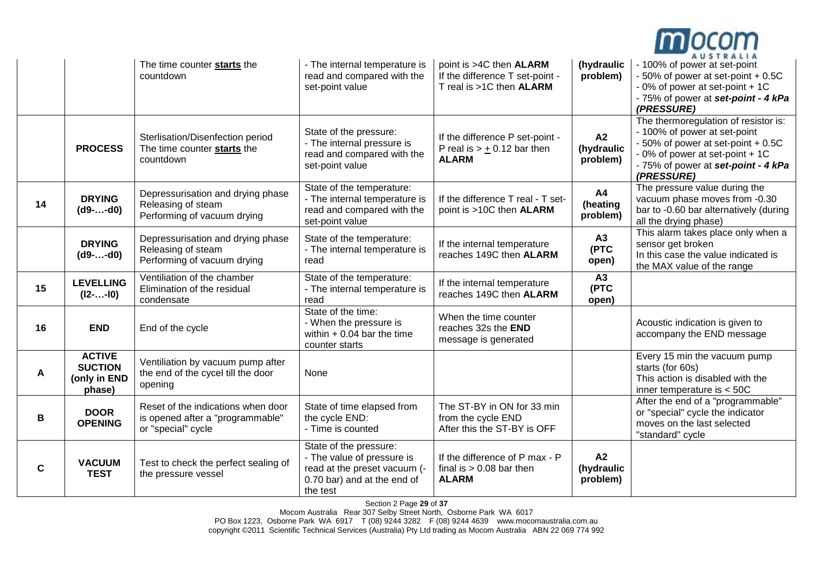

|             |                                                           | The time counter starts the<br>countdown                                                     | - The internal temperature is<br>read and compared with the<br>set-point value                                                  | point is >4C then ALARM<br>If the difference T set-point -<br>T real is >1C then ALARM | (hydraulic<br>problem)            | <b>AUJIRALIA</b><br>- 100% of power at set-point<br>- 50% of power at set-point + 0.5C<br>- 0% of power at set-point + 1C<br>-75% of power at set-point - 4 kPa<br>(PRESSURE)                   |
|-------------|-----------------------------------------------------------|----------------------------------------------------------------------------------------------|---------------------------------------------------------------------------------------------------------------------------------|----------------------------------------------------------------------------------------|-----------------------------------|-------------------------------------------------------------------------------------------------------------------------------------------------------------------------------------------------|
|             | <b>PROCESS</b>                                            | Sterlisation/Disenfection period<br>The time counter starts the<br>countdown                 | State of the pressure:<br>- The internal pressure is<br>read and compared with the<br>set-point value                           | If the difference P set-point -<br>P real is $> +0.12$ bar then<br><b>ALARM</b>        | A2<br>(hydraulic<br>problem)      | The thermoregulation of resistor is:<br>- 100% of power at set-point<br>50% of power at set-point + 0.5C<br>- 0% of power at set-point + 1C<br>-75% of power at set-point - 4 kPa<br>(PRESSURE) |
| 14          | <b>DRYING</b><br>$(d9$ --d0)                              | Depressurisation and drying phase<br>Releasing of steam<br>Performing of vacuum drying       | State of the temperature:<br>- The internal temperature is<br>read and compared with the<br>set-point value                     | If the difference T real - T set-<br>point is >10C then ALARM                          | <b>A4</b><br>(heating<br>problem) | The pressure value during the<br>vacuum phase moves from -0.30<br>bar to -0.60 bar alternatively (during<br>all the drying phase)                                                               |
|             | <b>DRYING</b><br>$(d9$ --d0)                              | Depressurisation and drying phase<br>Releasing of steam<br>Performing of vacuum drying       | State of the temperature:<br>- The internal temperature is<br>read                                                              | If the internal temperature<br>reaches 149C then ALARM                                 | A3<br>(PTC<br>open)               | This alarm takes place only when a<br>sensor get broken<br>In this case the value indicated is<br>the MAX value of the range                                                                    |
| 15          | <b>LEVELLING</b><br>$(12-. -10)$                          | Ventiliation of the chamber<br>Elimination of the residual<br>condensate                     | State of the temperature:<br>- The internal temperature is<br>read                                                              | If the internal temperature<br>reaches 149C then ALARM                                 | A3<br>(PTC<br>open)               |                                                                                                                                                                                                 |
| 16          | <b>END</b>                                                | End of the cycle                                                                             | State of the time:<br>- When the pressure is<br>within $+0.04$ bar the time<br>counter starts                                   | When the time counter<br>reaches 32s the END<br>message is generated                   |                                   | Acoustic indication is given to<br>accompany the END message                                                                                                                                    |
| A           | <b>ACTIVE</b><br><b>SUCTION</b><br>(only in END<br>phase) | Ventiliation by vacuum pump after<br>the end of the cycel till the door<br>opening           | None                                                                                                                            |                                                                                        |                                   | Every 15 min the vacuum pump<br>starts (for 60s)<br>This action is disabled with the<br>inner temperature is $< 50C$                                                                            |
| В           | <b>DOOR</b><br><b>OPENING</b>                             | Reset of the indications when door<br>is opened after a "programmable"<br>or "special" cycle | State of time elapsed from<br>the cycle END:<br>- Time is counted                                                               | The ST-BY in ON for 33 min<br>from the cycle END<br>After this the ST-BY is OFF        |                                   | After the end of a "programmable"<br>or "special" cycle the indicator<br>moves on the last selected<br>"standard" cycle                                                                         |
| $\mathbf c$ | <b>VACUUM</b><br><b>TEST</b>                              | Test to check the perfect sealing of<br>the pressure vessel                                  | State of the pressure:<br>- The value of pressure is<br>read at the preset vacuum (-<br>0.70 bar) and at the end of<br>the test | If the difference of P max - P<br>final is $> 0.08$ bar then<br><b>ALARM</b>           | A2<br>(hydraulic<br>problem)      |                                                                                                                                                                                                 |

Section 2 Page **29** of **37**

Mocom Australia Rear 307 Selby Street North, Osborne Park WA 6017 PO Box 1223, Osborne Park WA 6917 T (08) 9244 3282 F (08) 9244 4639 www.mocomaustralia.com.au copyright ©2011 Scientific Technical Services (Australia) Pty Ltd trading as Mocom Australia ABN 22 069 774 992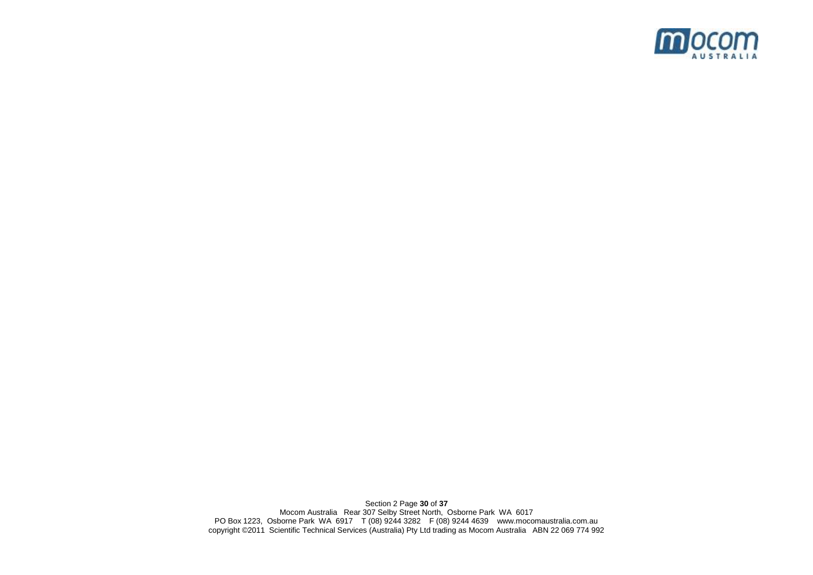

Section 2 Page **30** of **37** Mocom Australia Rear 307 Selby Street North, Osborne Park WA 6017 PO Box 1223, Osborne Park WA 6917 T (08) 9244 3282 F (08) 9244 4639 www.mocomaustralia.com.au copyright ©2011 Scientific Technical Services (Australia) Pty Ltd trading as Mocom Australia ABN 22 069 774 992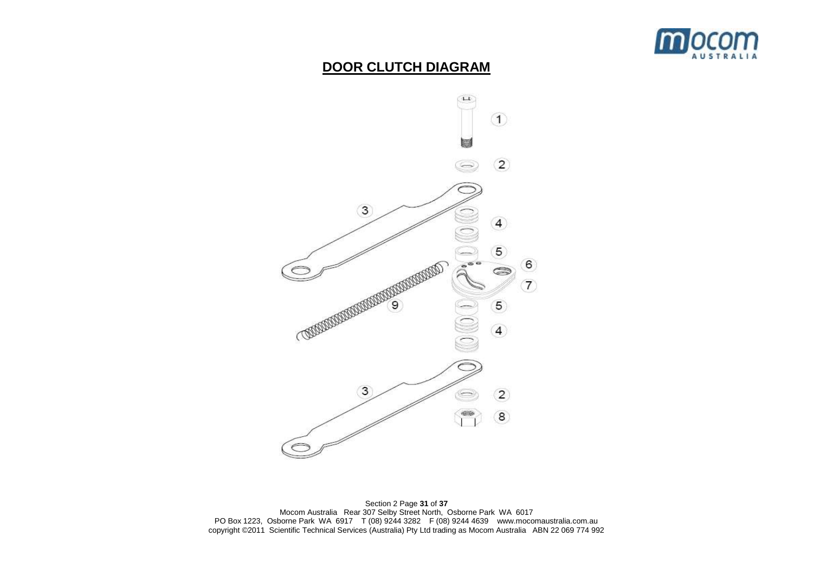

## **DOOR CLUTCH DIAGRAM**



Section 2 Page **31** of **37** Mocom Australia Rear 307 Selby Street North, Osborne Park WA 6017 PO Box 1223, Osborne Park WA 6917 T (08) 9244 3282 F (08) 9244 4639 www.mocomaustralia.com.au copyright ©2011 Scientific Technical Services (Australia) Pty Ltd trading as Mocom Australia ABN 22 069 774 992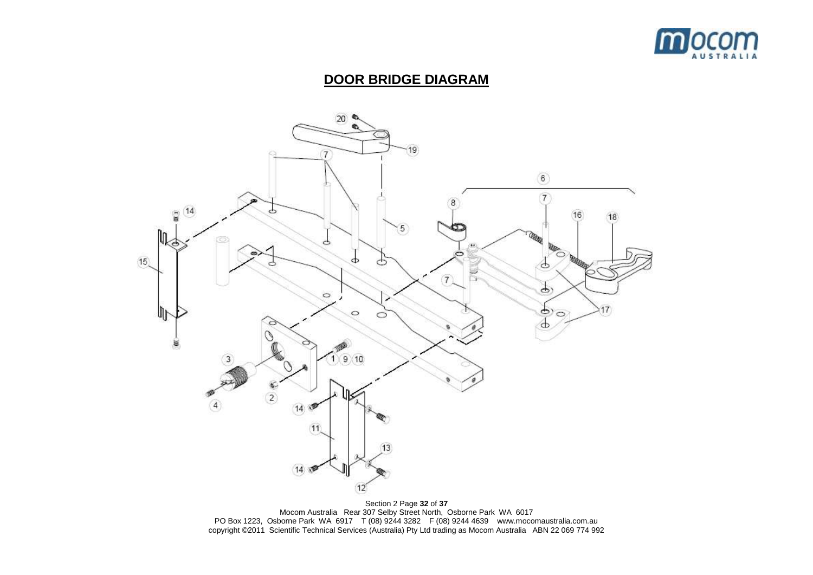

## **DOOR BRIDGE DIAGRAM**



PO Box 1223, Osborne Park WA 6917 T (08) 9244 3282 F (08) 9244 4639 www.mocomaustralia.com.au copyright ©2011 Scientific Technical Services (Australia) Pty Ltd trading as Mocom Australia ABN 22 069 774 992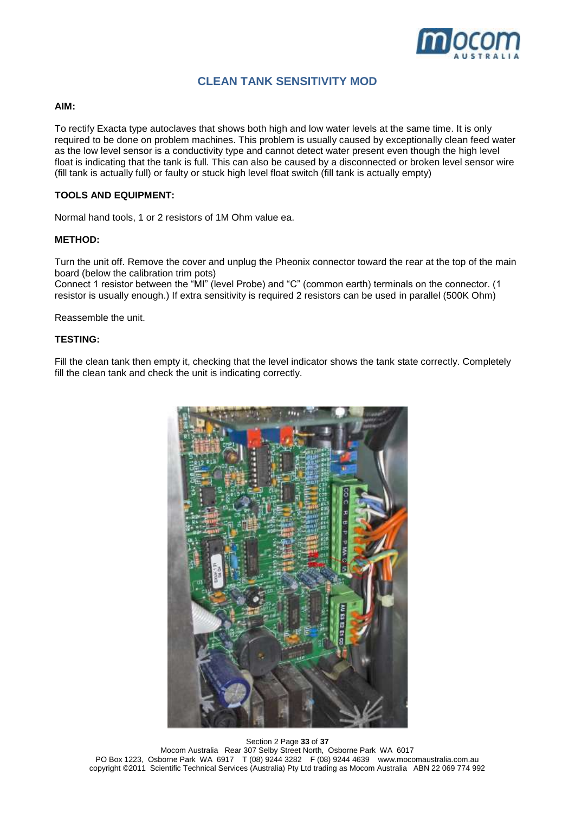

### **CLEAN TANK SENSITIVITY MOD**

#### **AIM:**

To rectify Exacta type autoclaves that shows both high and low water levels at the same time. It is only required to be done on problem machines. This problem is usually caused by exceptionally clean feed water as the low level sensor is a conductivity type and cannot detect water present even though the high level float is indicating that the tank is full. This can also be caused by a disconnected or broken level sensor wire (fill tank is actually full) or faulty or stuck high level float switch (fill tank is actually empty)

#### **TOOLS AND EQUIPMENT:**

Normal hand tools, 1 or 2 resistors of 1M Ohm value ea.

#### **METHOD:**

Turn the unit off. Remove the cover and unplug the Pheonix connector toward the rear at the top of the main board (below the calibration trim pots)

Connect 1 resistor between the "MI" (level Probe) and "C" (common earth) terminals on the connector. (1 resistor is usually enough.) If extra sensitivity is required 2 resistors can be used in parallel (500K Ohm)

Reassemble the unit.

#### **TESTING:**

Fill the clean tank then empty it, checking that the level indicator shows the tank state correctly. Completely fill the clean tank and check the unit is indicating correctly.



Section 2 Page **33** of **37** Mocom Australia Rear 307 Selby Street North, Osborne Park WA 6017 PO Box 1223, Osborne Park WA 6917 T (08) 9244 3282 F (08) 9244 4639 www.mocomaustralia.com.au copyright ©2011 Scientific Technical Services (Australia) Pty Ltd trading as Mocom Australia ABN 22 069 774 992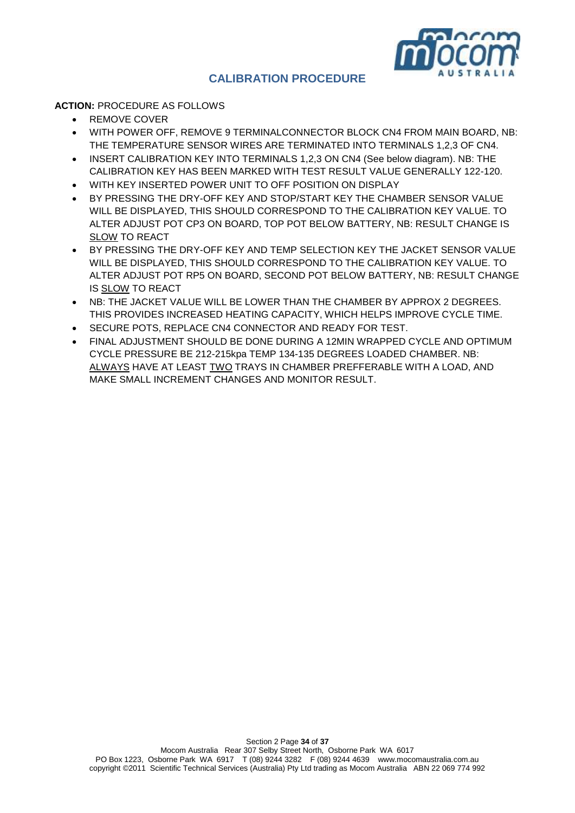

### **CALIBRATION PROCEDURE**

### **ACTION:** PROCEDURE AS FOLLOWS

- REMOVE COVER
- WITH POWER OFF, REMOVE 9 TERMINALCONNECTOR BLOCK CN4 FROM MAIN BOARD, NB: THE TEMPERATURE SENSOR WIRES ARE TERMINATED INTO TERMINALS 1,2,3 OF CN4.
- INSERT CALIBRATION KEY INTO TERMINALS 1,2,3 ON CN4 (See below diagram). NB: THE CALIBRATION KEY HAS BEEN MARKED WITH TEST RESULT VALUE GENERALLY 122-120.
- WITH KEY INSERTED POWER UNIT TO OFF POSITION ON DISPLAY
- BY PRESSING THE DRY-OFF KEY AND STOP/START KEY THE CHAMBER SENSOR VALUE WILL BE DISPLAYED, THIS SHOULD CORRESPOND TO THE CALIBRATION KEY VALUE. TO ALTER ADJUST POT CP3 ON BOARD, TOP POT BELOW BATTERY, NB: RESULT CHANGE IS SLOW TO REACT
- BY PRESSING THE DRY-OFF KEY AND TEMP SELECTION KEY THE JACKET SENSOR VALUE WILL BE DISPLAYED, THIS SHOULD CORRESPOND TO THE CALIBRATION KEY VALUE. TO ALTER ADJUST POT RP5 ON BOARD, SECOND POT BELOW BATTERY, NB: RESULT CHANGE IS SLOW TO REACT
- NB: THE JACKET VALUE WILL BE LOWER THAN THE CHAMBER BY APPROX 2 DEGREES. THIS PROVIDES INCREASED HEATING CAPACITY, WHICH HELPS IMPROVE CYCLE TIME.
- SECURE POTS, REPLACE CN4 CONNECTOR AND READY FOR TEST.
- FINAL ADJUSTMENT SHOULD BE DONE DURING A 12MIN WRAPPED CYCLE AND OPTIMUM CYCLE PRESSURE BE 212-215kpa TEMP 134-135 DEGREES LOADED CHAMBER. NB: ALWAYS HAVE AT LEAST TWO TRAYS IN CHAMBER PREFFERABLE WITH A LOAD, AND MAKE SMALL INCREMENT CHANGES AND MONITOR RESULT.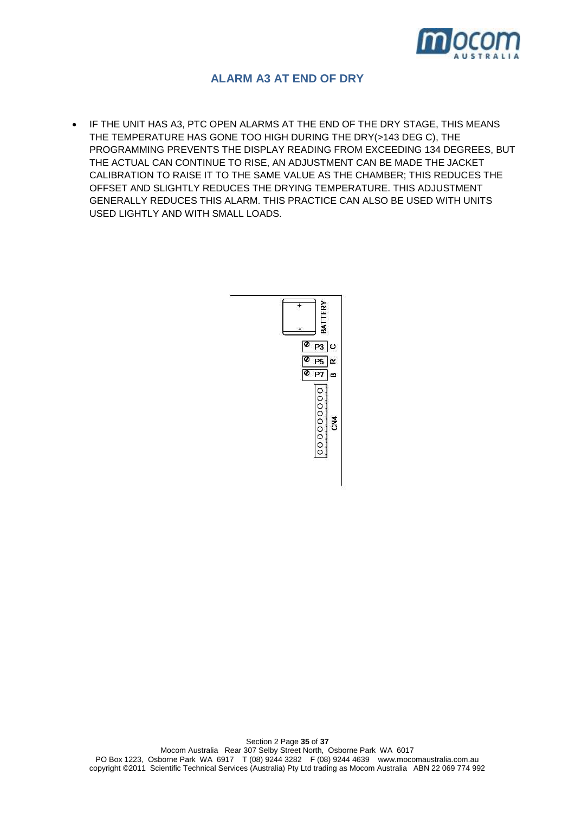

### **ALARM A3 AT END OF DRY**

 IF THE UNIT HAS A3, PTC OPEN ALARMS AT THE END OF THE DRY STAGE, THIS MEANS THE TEMPERATURE HAS GONE TOO HIGH DURING THE DRY(>143 DEG C), THE PROGRAMMING PREVENTS THE DISPLAY READING FROM EXCEEDING 134 DEGREES, BUT THE ACTUAL CAN CONTINUE TO RISE, AN ADJUSTMENT CAN BE MADE THE JACKET CALIBRATION TO RAISE IT TO THE SAME VALUE AS THE CHAMBER; THIS REDUCES THE OFFSET AND SLIGHTLY REDUCES THE DRYING TEMPERATURE. THIS ADJUSTMENT GENERALLY REDUCES THIS ALARM. THIS PRACTICE CAN ALSO BE USED WITH UNITS USED LIGHTLY AND WITH SMALL LOADS.

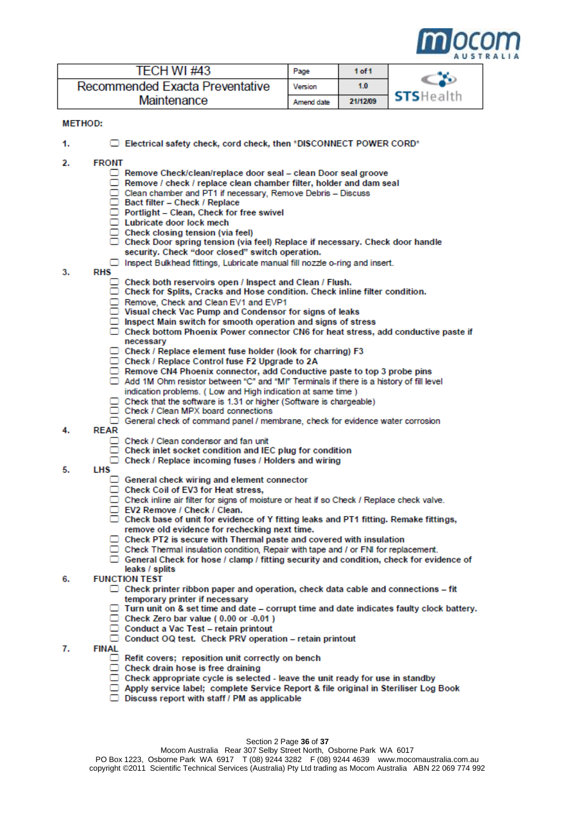

| TECH WI #43                     | Page       | 1 of 1   |  |
|---------------------------------|------------|----------|--|
| Recommended Exacta Preventative | Version    | 1.0      |  |
| Maintenance                     | Amend date | 21/12/09 |  |

#### **METHOD:**

1. □ Electrical safety check, cord check, then \*DISCONNECT POWER CORD\*

#### $\overline{2}$ **FRONT**

- 
- $\Box$  Remove Check/clean/replace door seal clean Door seal groove<br> $\Box$  Remove / check / replace clean chamber filter, holder and dam seal
- 
- 
- 
- 
- 
- □ Remove / check / replace clean chamber filter, holder and da<br>□ Clean chamber and PT1 if necessary, Remove Debris Discuss<br>□ Bact filter Check / Replace<br>□ Portlight Clean, Check for free swivel<br>□ Lubricate door lock Check Door spring tension (via feel) Replace if necessary. Check door handle security. Check "door closed" switch operation.
- □ Inspect Bulkhead fittings, Lubricate manual fill nozzle o-ring and insert.

#### 3. **RHS**

- Check both reservoirs open / Inspect and Clean / Flush.
- ◯ Check both reservoirs open / Inspect and Clean / Liven.<br>◯ Check for Splits, Cracks and Hose condition. Check infine filter condition.
- 
- □ Remove, Check and Clean EV1 and EVP1<br>□ Remove, Check and Clean EV1 and EVP1<br>□ Visual check Vac Pump and Condensor for signs of leaks
- $\Box$  Inspect Main switch for smooth operation and signs of stress
- □ Check bottom Phoenix Power connector CN6 for heat stress, add conductive paste if necessary
- Check / Replace element fuse holder (look for charring) F3
- Check / Replace Control fuse F2 Upgrade to 2A
- □ Remove CN4 Phoenix connector, add Conductive paste to top 3 probe pins
- Add 1M Ohm resistor between "C" and "MI" Terminals if there is a history of fill level indication problems. (Low and High indication at same time)
- 
- 
- ◯ Check that the software is 1.31 or myner (exception)<br>
◯ Check / Clean MPX board connections<br>
◯ General check of command panel / membrane, check for evidence water corrosion

#### **REAR** 4.

- 
- $\Box$  Check / Clean condensor and fan unit Check inlet socket condition and IEC plug for condition
- □ Check / Replace incoming fuses / Holders and wiring

#### 5. LHS

- □ General check wiring and element connector
- □ Check Coil of EV3 for Heat stress,
- Check inline air filter for signs of moisture or heat if so Check / Replace check valve.
- EV2 Remove / Check / Clean.
- $\Box$  EV2 Remove / Check / Clean.<br> $\Box$  Check base of unit for evidence of Y fitting leaks and PT1 fitting. Remake fittings, remove old evidence for rechecking next time.
- $\Box$  Check PT2 is secure with Thermal paste and covered with insulation
- □ Check Thermal insulation condition, Repair with tape and / or FNI for replacement.
- $\Box$  General Check for hose / clamp / fitting security and condition, check for evidence of leaks / splits
- 6. **FUNCTION TEST** 
	- $\Box$  Check printer ribbon paper and operation, check data cable and connections fit temporary printer if necessary
	- Turn unit on & set time and date corrupt time and date indicates faulty clock battery. С
	- $\Box$  Check Zero bar value (0.00 or -0.01)
	- Conduct a Vac Test retain printout
	- Conduct OQ test. Check PRV operation retain printout

#### $\overline{7}$ **FINAL**

- Refit covers; reposition unit correctly on bench
- 
- $\Box$  Check drain hose is free draining<br>  $\Box$  Check appropriate cycle is selected leave the unit ready for use in standby<br>  $\Box$  Apply service label; complete Service Report & file original in Steriliser Log<br>  $\Box$  Discuss
	- Apply service label; complete Service Report & file original in Steriliser Log Book
-